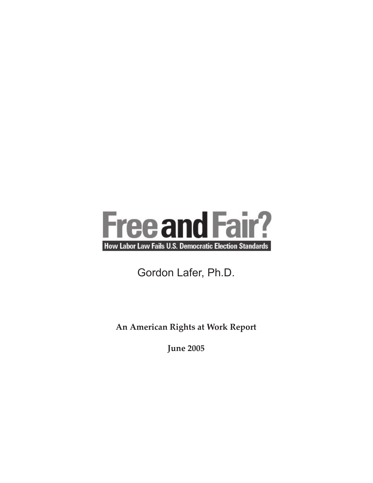

# Gordon Lafer, Ph.D.

**An American Rights at Work Report**

**June 2005**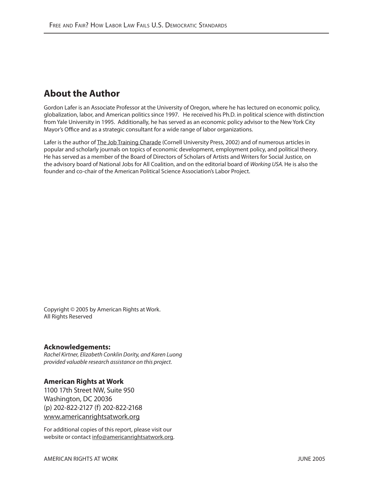# **About the Author**

Gordon Lafer is an Associate Professor at the University of Oregon, where he has lectured on economic policy, globalization, labor, and American politics since 1997. He received his Ph.D. in political science with distinction from Yale University in 1995. Additionally, he has served as an economic policy advisor to the New York City Mayor's Office and as a strategic consultant for a wide range of labor organizations.

Lafer is the author of The Job Training Charade (Cornell University Press, 2002) and of numerous articles in popular and scholarly journals on topics of economic development, employment policy, and political theory. He has served as a member of the Board of Directors of Scholars of Artists and Writers for Social Justice, on the advisory board of National Jobs for All Coalition, and on the editorial board of Working USA. He is also the founder and co-chair of the American Political Science Association's Labor Project.

Copyright © 2005 by American Rights at Work. All Rights Reserved

#### **Acknowledgements:**

Rachel Kirtner, Elizabeth Conklin Dority, and Karen Luong provided valuable research assistance on this project.

#### **American Rights at Work**

1100 17th Street NW, Suite 950 Washington, DC 20036 (p) 202-822-2127 (f) 202-822-2168 www.americanrightsatwork.org

For additional copies of this report, please visit our website or contact info@americanrightsatwork.org.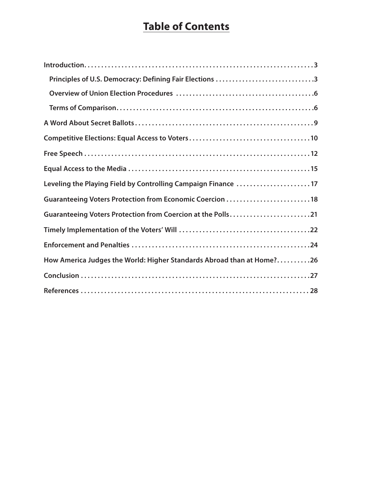# **Table of Contents**

| Principles of U.S. Democracy: Defining Fair Elections 3               |
|-----------------------------------------------------------------------|
|                                                                       |
|                                                                       |
|                                                                       |
|                                                                       |
|                                                                       |
|                                                                       |
| Leveling the Playing Field by Controlling Campaign Finance 17         |
| Guaranteeing Voters Protection from Economic Coercion 18              |
| Guaranteeing Voters Protection from Coercion at the Polls21           |
|                                                                       |
|                                                                       |
| How America Judges the World: Higher Standards Abroad than at Home?26 |
|                                                                       |
|                                                                       |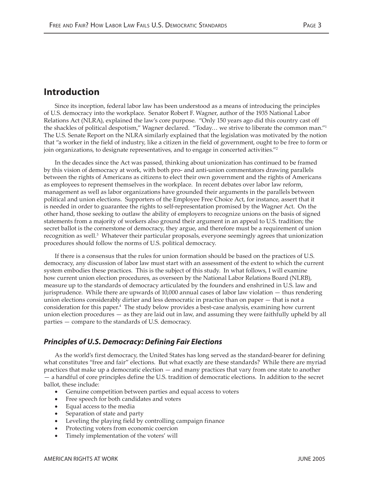### **Introduction**

Since its inception, federal labor law has been understood as a means of introducing the principles of U.S. democracy into the workplace. Senator Robert F. Wagner, author of the 1935 National Labor Relations Act (NLRA), explained the law's core purpose. "Only 150 years ago did this country cast off the shackles of political despotism," Wagner declared. "Today... we strive to liberate the common man."<sup>1</sup> The U.S. Senate Report on the NLRA similarly explained that the legislation was motivated by the notion that "a worker in the field of industry, like a citizen in the field of government, ought to be free to form or join organizations, to designate representatives, and to engage in concerted activities."2

In the decades since the Act was passed, thinking about unionization has continued to be framed by this vision of democracy at work, with both pro- and anti-union commentators drawing parallels between the rights of Americans as citizens to elect their own government and the rights of Americans as employees to represent themselves in the workplace. In recent debates over labor law reform, management as well as labor organizations have grounded their arguments in the parallels between political and union elections. Supporters of the Employee Free Choice Act, for instance, assert that it is needed in order to guarantee the rights to self-representation promised by the Wagner Act. On the other hand, those seeking to outlaw the ability of employers to recognize unions on the basis of signed statements from a majority of workers also ground their argument in an appeal to U.S. tradition; the secret ballot is the cornerstone of democracy, they argue, and therefore must be a requirement of union recognition as well.<sup>3</sup> Whatever their particular proposals, everyone seemingly agrees that unionization procedures should follow the norms of U.S. political democracy.

If there is a consensus that the rules for union formation should be based on the practices of U.S. democracy, any discussion of labor law must start with an assessment of the extent to which the current system embodies these practices. This is the subject of this study. In what follows, I will examine how current union election procedures, as overseen by the National Labor Relations Board (NLRB), measure up to the standards of democracy articulated by the founders and enshrined in U.S. law and jurisprudence. While there are upwards of 10,000 annual cases of labor law violation — thus rendering union elections considerably dirtier and less democratic in practice than on paper — that is not a consideration for this paper.4 The study below provides a best-case analysis, examining how current union election procedures — as they are laid out in law, and assuming they were faithfully upheld by all parties — compare to the standards of U.S. democracy.

#### **Principles of U.S. Democracy: Defining Fair Elections**

As the world's first democracy, the United States has long served as the standard-bearer for defining what constitutes "free and fair" elections. But what exactly are these standards? While there are myriad practices that make up a democratic election — and many practices that vary from one state to another — a handful of core principles define the U.S. tradition of democratic elections. In addition to the secret ballot, these include:

- Genuine competition between parties and equal access to voters
- Free speech for both candidates and voters
- Equal access to the media
- Separation of state and party
- Leveling the playing field by controlling campaign finance
- Protecting voters from economic coercion
- Timely implementation of the voters' will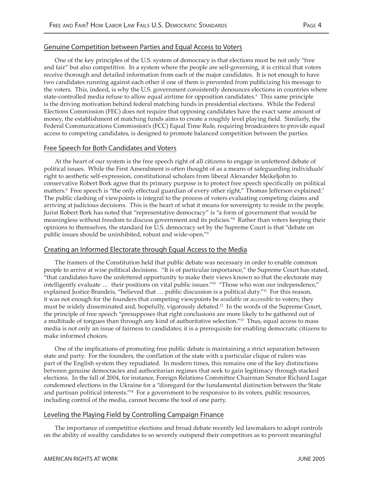#### Genuine Competition between Parties and Equal Access to Voters

One of the key principles of the U.S. system of democracy is that elections must be not only "free and fair" but also competitive. In a system where the people are self-governing, it is critical that voters receive thorough and detailed information from each of the major candidates. It is not enough to have two candidates running against each other if one of them is prevented from publicizing his message to the voters. This, indeed, is why the U.S. government consistently denounces elections in countries where state-controlled media refuse to allow equal airtime for opposition candidates.<sup>5</sup> This same principle is the driving motivation behind federal matching funds in presidential elections. While the Federal Elections Commission (FEC) does not require that opposing candidates have the exact same amount of money, the establishment of matching funds aims to create a roughly level playing field. Similarly, the Federal Communications Commission's (FCC) Equal Time Rule, requiring broadcasters to provide equal access to competing candidates, is designed to promote balanced competition between the parties.

#### Free Speech for Both Candidates and Voters

At the heart of our system is the free speech right of all citizens to engage in unfettered debate of political issues. While the First Amendment is often thought of as a means of safeguarding individuals' right to aesthetic self-expression, constitutional scholars from liberal Alexander Meikeljohn to conservative Robert Bork agree that its primary purpose is to protect free speech specifically on political matters.<sup>6</sup> Free speech is "the only effectual guardian of every other right," Thomas Jefferson explained.<sup>7</sup> The public clashing of viewpoints is integral to the process of voters evaluating competing claims and arriving at judicious decisions. This is the heart of what it means for sovereignty to reside in the people. Jurist Robert Bork has noted that "representative democracy" is "a form of government that would be meaningless without freedom to discuss government and its policies."8 Rather than voters keeping their opinions to themselves, the standard for U.S. democracy set by the Supreme Court is that "debate on public issues should be uninhibited, robust and wide-open."9

#### Creating an Informed Electorate through Equal Access to the Media

The framers of the Constitution held that public debate was necessary in order to enable common people to arrive at wise political decisions. "It is of particular importance," the Supreme Court has stated, "that candidates have the unfettered opportunity to make their views known so that the electorate may intelligently evaluate … their positions on vital public issues."10 "Those who won our independence," explained Justice Brandeis, "believed that ... public discussion is a political duty."<sup>11</sup> For this reason, it was not enough for the founders that competing viewpoints be *available* or *accessible* to voters; they must be widely disseminated and, hopefully, vigorously debated.<sup>12</sup> In the words of the Supreme Court, the principle of free speech "presupposes that right conclusions are more likely to be gathered out of a multitude of tongues than through any kind of authoritative selection."13 Thus, equal access to mass media is not only an issue of fairness to candidates; it is a prerequisite for enabling democratic citizens to make informed choices.

One of the implications of promoting free public debate is maintaining a strict separation between state and party. For the founders, the conflation of the state with a particular clique of rulers was part of the English system they repudiated. In modern times, this remains one of the key distinctions between genuine democracies and authoritarian regimes that seek to gain legitimacy through stacked elections. In the fall of 2004, for instance, Foreign Relations Committee Chairman Senator Richard Lugar condemned elections in the Ukraine for a "disregard for the fundamental distinction between the State and partisan political interests."14 For a government to be responsive to its voters, public resources, including control of the media, cannot become the tool of one party.

#### Leveling the Playing Field by Controlling Campaign Finance

The importance of competitive elections and broad debate recently led lawmakers to adopt controls on the ability of wealthy candidates to so severely outspend their competitors as to prevent meaningful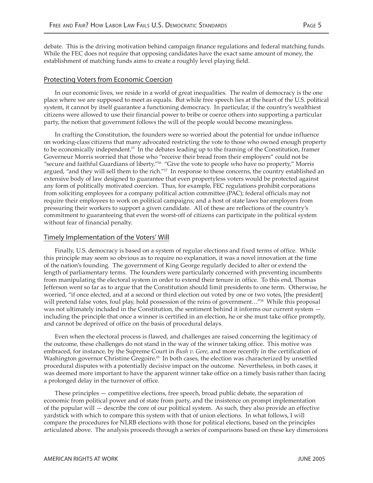debate. This is the driving motivation behind campaign finance regulations and federal matching funds. While the FEC does not require that opposing candidates have the exact same amount of money, the establishment of matching funds aims to create a roughly level playing field.

#### Protecting Voters from Economic Coercion

In our economic lives, we reside in a world of great inequalities. The realm of democracy is the one place where we are supposed to meet as equals. But while free speech lies at the heart of the U.S. political system, it cannot by itself guarantee a functioning democracy. In particular, if the country's wealthiest citizens were allowed to use their financial power to bribe or coerce others into supporting a particular party, the notion that government follows the will of the people would become meaningless.

In crafting the Constitution, the founders were so worried about the potential for undue influence on working-class citizens that many advocated restricting the vote to those who owned enough property to be economically independent.<sup>15</sup> In the debates leading up to the framing of the Constitution, framer Governeur Morris worried that those who "receive their bread from their employers" could not be "secure and faithful Guardians of liberty."16 "Give the vote to people who have no property," Morris argued, "and they will sell them to the rich."17 In response to these concerns, the country established an extensive body of law designed to guarantee that even propertyless voters would be protected against any form of politically motivated coercion. Thus, for example, FEC regulations prohibit corporations from soliciting employees for a company political action committee (PAC); federal officials may not require their employees to work on political campaigns; and a host of state laws bar employers from pressuring their workers to support a given candidate. All of these are reflections of the country's commitment to guaranteeing that even the worst-off of citizens can participate in the political system without fear of financial penalty.

#### Timely Implementation of the Voters' Will

Finally, U.S. democracy is based on a system of regular elections and fixed terms of office. While this principle may seem so obvious as to require no explanation, it was a novel innovation at the time of the nation's founding. The government of King George regularly decided to alter or extend the length of parliamentary terms. The founders were particularly concerned with preventing incumbents from manipulating the electoral system in order to extend their tenure in office. To this end, Thomas Jefferson went so far as to argue that the Constitution should limit presidents to one term. Otherwise, he worried, "if once elected, and at a second or third election out voted by one or two votes, [the president] will pretend false votes, foul play, hold possession of the reins of government..."<sup>18</sup> While this proposal was not ultimately included in the Constitution, the sentiment behind it informs our current system including the principle that once a winner is certified in an election, he or she must take office promptly, and cannot be deprived of office on the basis of procedural delays.

Even when the electoral process is flawed, and challenges are raised concerning the legitimacy of the outcome, these challenges do not stand in the way of the winner taking office. This motive was embraced, for instance, by the Supreme Court in *Bush v. Gore*, and more recently in the certification of Washington governor Christine Gregoire.<sup>19</sup> In both cases, the election was characterized by unsettled procedural disputes with a potentially decisive impact on the outcome. Nevertheless, in both cases, it was deemed more important to have the apparent winner take office on a timely basis rather than facing a prolonged delay in the turnover of office.

These principles — competitive elections, free speech, broad public debate, the separation of economic from political power and of state from party, and the insistence on prompt implementation of the popular will — describe the core of our political system. As such, they also provide an effective yardstick with which to compare this system with that of union elections. In what follows, I will compare the procedures for NLRB elections with those for political elections, based on the principles articulated above. The analysis proceeds through a series of comparisons based on these key dimensions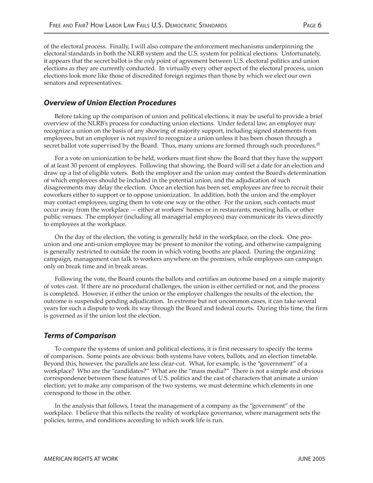of the electoral process. Finally, I will also compare the enforcement mechanisms underpinning the electoral standards in both the NLRB system and the U.S. system for political elections. Unfortunately, it appears that the secret ballot is the *only* point of agreement between U.S. electoral politics and union elections as they are currently conducted. In virtually every other aspect of the electoral process, union elections look more like those of discredited foreign regimes than those by which we elect our own senators and representatives.

#### **Overview of Union Election Procedures**

Before taking up the comparison of union and political elections, it may be useful to provide a brief overview of the NLRB's process for conducting union elections. Under federal law, an employer may recognize a union on the basis of any showing of majority support, including signed statements from employees, but an employer is not *required* to recognize a union unless it has been chosen through a secret ballot vote supervised by the Board. Thus, many unions are formed through such procedures.<sup>20</sup>

For a vote on unionization to be held, workers must first show the Board that they have the support of at least 30 percent of employees. Following that showing, the Board will set a date for an election and draw up a list of eligible voters. Both the employer and the union may contest the Board's determination of which employees should be included in the potential union, and the adjudication of such disagreements may delay the election. Once an election has been set, employees are free to recruit their coworkers either to support or to oppose unionization. In addition, both the union and the employer may contact employees, urging them to vote one way or the other. For the union, such contacts must occur away from the workplace — either at workers' homes or in restaurants, meeting halls, or other public venues. The employer (including all managerial employees) may communicate its views directly to employees at the workplace.

On the day of the election, the voting is generally held in the workplace, on the clock. One prounion and one anti-union employee may be present to monitor the voting, and otherwise campaigning is generally restricted to outside the room in which voting booths are placed. During the organizing campaign, management can talk to workers anywhere on the premises, while employees can campaign only on break time and in break areas.

Following the vote, the Board counts the ballots and certifies an outcome based on a simple majority of votes cast. If there are no procedural challenges, the union is either certified or not, and the process is completed. However, if either the union or the employer challenges the results of the election, the outcome is suspended pending adjudication. In extreme but not uncommon cases, it can take several years for such a dispute to work its way through the Board and federal courts. During this time, the firm is governed as if the union lost the election.

#### **Terms of Comparison**

To compare the systems of union and political elections, it is first necessary to specify the terms of comparison. Some points are obvious: both systems have voters, ballots, and an election timetable. Beyond this, however, the parallels are less clear-cut. What, for example, is the "government" of a workplace? Who are the "candidates?" What are the "mass media?" There is not a simple and obvious correspondence between these features of U.S. politics and the cast of characters that animate a union election; yet to make any comparison of the two systems, we must determine which elements in one correspond to those in the other.

In the analysis that follows, I treat the management of a company as the "government" of the workplace. I believe that this reflects the reality of workplace governance, where management sets the policies, terms, and conditions according to which work life is run.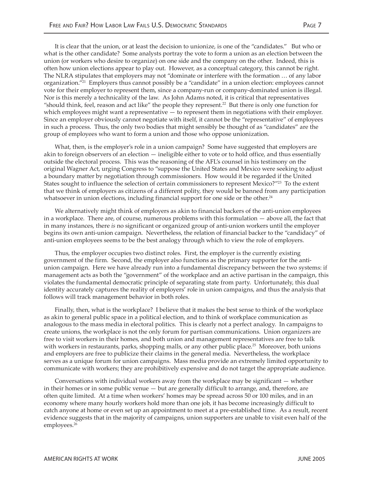It is clear that the union, or at least the decision to unionize, is one of the "candidates." But who or what is the other candidate? Some analysts portray the vote to form a union as an election between the union (or workers who desire to organize) on one side and the company on the other. Indeed, this is often how union elections appear to play out. However, as a conceptual category, this cannot be right. The NLRA stipulates that employers may not "dominate or interfere with the formation … of any labor organization."21 Employers thus cannot possibly be a "candidate" in a union election: employees cannot vote for their employer to represent them, since a company-run or company-dominated union is illegal. Nor is this merely a technicality of the law. As John Adams noted, it is critical that representatives "should think, feel, reason and act like" the people they represent.22 But there is only one function for which employees might want a representative - to represent them in negotiations with their employer. Since an employer obviously cannot negotiate with itself, it cannot be the "representative" of employees

What, then, is the employer's role in a union campaign? Some have suggested that employers are akin to foreign observers of an election — ineligible either to vote or to hold office, and thus essentially outside the electoral process. This was the reasoning of the AFL's counsel in his testimony on the original Wagner Act, urging Congress to "suppose the United States and Mexico were seeking to adjust a boundary matter by negotiation through commissioners. How would it be regarded if the United States sought to influence the selection of certain commissioners to represent Mexico?"<sup>23</sup> To the extent that we think of employers as citizens of a different polity, they would be banned from any participation whatsoever in union elections, including financial support for one side or the other. $24$ 

in such a process. Thus, the only two bodies that might sensibly be thought of as "candidates" are the

group of employees who want to form a union and those who oppose unionization.

We alternatively might think of employers as akin to financial backers of the anti-union employees in a workplace. There are, of course, numerous problems with this formulation — above all, the fact that in many instances, there *is* no significant or organized group of anti-union workers until the employer begins its own anti-union campaign. Nevertheless, the relation of financial backer to the "candidacy" of anti-union employees seems to be the best analogy through which to view the role of employers.

Thus, the employer occupies two distinct roles. First, the employer is the currently existing government of the firm. Second, the employer also functions as the primary supporter for the antiunion campaign. Here we have already run into a fundamental discrepancy between the two systems: if management acts as both the "government" of the workplace and an active partisan in the campaign, this violates the fundamental democratic principle of separating state from party. Unfortunately, this dual identity accurately captures the reality of employers' role in union campaigns, and thus the analysis that follows will track management behavior in both roles.

Finally, then, what is the workplace? I believe that it makes the best sense to think of the workplace as akin to general public space in a political election, and to think of workplace communication as analogous to the mass media in electoral politics. This is clearly not a perfect analogy. In campaigns to create unions, the workplace is not the only forum for partisan communications. Union organizers are free to visit workers in their homes, and both union and management representatives are free to talk with workers in restaurants, parks, shopping malls, or any other public place.<sup>25</sup> Moreover, both unions and employers are free to publicize their claims in the general media. Nevertheless, the workplace serves as a unique forum for union campaigns. Mass media provide an extremely limited opportunity to communicate with workers; they are prohibitively expensive and do not target the appropriate audience.

Conversations with individual workers away from the workplace may be significant — whether in their homes or in some public venue — but are generally difficult to arrange, and, therefore, are often quite limited. At a time when workers' homes may be spread across 50 or 100 miles, and in an economy where many hourly workers hold more than one job, it has become increasingly difficult to catch anyone at home or even set up an appointment to meet at a pre-established time. As a result, recent evidence suggests that in the majority of campaigns, union supporters are unable to visit even half of the employees.<sup>26</sup>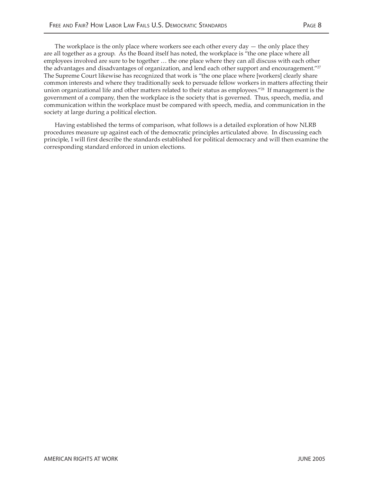The workplace is the only place where workers see each other every day — the only place they are all together as a group. As the Board itself has noted, the workplace is "the one place where all employees involved are sure to be together … the one place where they can all discuss with each other the advantages and disadvantages of organization, and lend each other support and encouragement."<sup>27</sup> The Supreme Court likewise has recognized that work is "the one place where [workers] clearly share common interests and where they traditionally seek to persuade fellow workers in matters affecting their union organizational life and other matters related to their status as employees."<sup>28</sup> If management is the government of a company, then the workplace is the society that is governed. Thus, speech, media, and communication within the workplace must be compared with speech, media, and communication in the society at large during a political election.

Having established the terms of comparison, what follows is a detailed exploration of how NLRB procedures measure up against each of the democratic principles articulated above. In discussing each principle, I will first describe the standards established for political democracy and will then examine the corresponding standard enforced in union elections.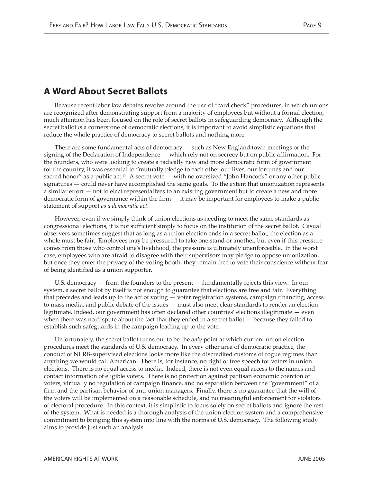## **A Word About Secret Ballots**

Because recent labor law debates revolve around the use of "card check" procedures, in which unions are recognized after demonstrating support from a majority of employees but without a formal election, much attention has been focused on the role of secret ballots in safeguarding democracy. Although the secret ballot *i*s a cornerstone of democratic elections, it is important to avoid simplistic equations that reduce the whole practice of democracy to secret ballots and nothing more.

There are some fundamental acts of democracy — such as New England town meetings or the signing of the Declaration of Independence — which rely not on secrecy but on public affirmation. For the founders, who were looking to create a radically new and more democratic form of government for the country, it was essential to "mutually pledge to each other our lives, our fortunes and our sacred honor" as a public act.<sup>29</sup> A secret vote  $-$  with no oversized "John Hancock" or any other public signatures — could never have accomplished the same goals. To the extent that unionization represents a similar effort — not to elect representatives to an existing government but to create a new and more democratic form of governance within the firm  $-$  it may be important for employees to make a public statement of support *as a democratic act*.

However, even if we simply think of union elections as needing to meet the same standards as congressional elections, it is not sufficient simply to focus on the institution of the secret ballot. Casual observers sometimes suggest that as long as a union election ends in a secret ballot, the election as a whole must be fair. Employees may be pressured to take one stand or another, but even if this pressure comes from those who control one's livelihood, the pressure is ultimately unenforceable. In the worst case, employees who are afraid to disagree with their supervisors may pledge to oppose unionization, but once they enter the privacy of the voting booth, they remain free to vote their conscience without fear of being identified as a union supporter.

U.S. democracy — from the founders to the present — fundamentally rejects this view. In our system, a secret ballot by itself is not enough to guarantee that elections are free and fair. Everything that precedes and leads up to the act of voting — voter registration systems, campaign financing, access to mass media, and public debate of the issues — must also meet clear standards to render an election legitimate. Indeed, our government has often declared other countries' elections illegitimate — even when there was no dispute about the fact that they ended in a secret ballot — because they failed to establish such safeguards in the campaign leading up to the vote.

Unfortunately, the secret ballot turns out to be the *only* point at which current union election procedures meet the standards of U.S. democracy. In every other area of democratic practice, the conduct of NLRB-supervised elections looks more like the discredited customs of rogue regimes than anything we would call American. There is, for instance, no right of free speech for voters in union elections. There is no equal access to media. Indeed, there is not even equal access to the names and contact information of eligible voters. There is no protection against partisan economic coercion of voters, virtually no regulation of campaign finance, and no separation between the "government" of a firm and the partisan behavior of anti-union managers. Finally, there is no guarantee that the will of the voters will be implemented on a reasonable schedule, and no meaningful enforcement for violators of electoral procedure. In this context, it is simplistic to focus solely on secret ballots and ignore the rest of the system. What is needed is a thorough analysis of the union election system and a comprehensive commitment to bringing this system into line with the norms of U.S. democracy. The following study aims to provide just such an analysis.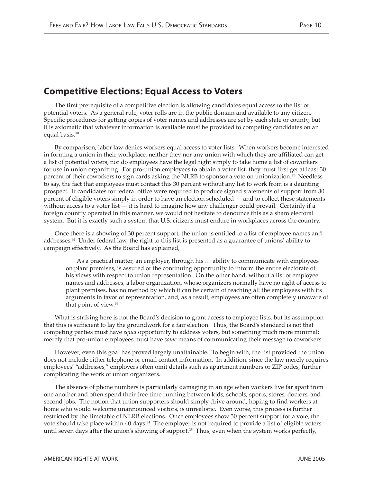# **Competitive Elections: Equal Access to Voters**

The first prerequisite of a competitive election is allowing candidates equal access to the list of potential voters. As a general rule, voter rolls are in the public domain and available to any citizen. Specific procedures for getting copies of voter names and addresses are set by each state or county, but it is axiomatic that whatever information is available must be provided to competing candidates on an equal basis.<sup>30</sup>

By comparison, labor law denies workers equal access to voter lists. When workers become interested in forming a union in their workplace, neither they nor any union with which they are affiliated can get a list of potential voters; nor do employees have the legal right simply to take home a list of coworkers for use in union organizing. For pro-union employees to obtain a voter list, they must first get at least 30 percent of their coworkers to sign cards asking the NLRB to sponsor a vote on unionization.<sup>31</sup> Needless to say, the fact that employees must contact this 30 percent without any list to work from is a daunting prospect. If candidates for federal office were required to produce signed statements of support from 30 percent of eligible voters simply in order to have an election scheduled — and to collect these statements without access to a voter list  $-$  it is hard to imagine how any challenger could prevail. Certainly if a foreign country operated in this manner, we would not hesitate to denounce this as a sham electoral system. But it is exactly such a system that U.S. citizens must endure in workplaces across the country.

Once there is a showing of 30 percent support, the union is entitled to a list of employee names and addresses.32 Under federal law, the right to this list is presented as a guarantee of unions' ability to campaign effectively. As the Board has explained,

As a practical matter, an employer, through his … ability to communicate with employees on plant premises, is assured of the continuing opportunity to inform the entire electorate of his views with respect to union representation. On the other hand, without a list of employee names and addresses, a labor organization, whose organizers normally have no right of access to plant premises, has no method by which it can be certain of reaching all the employees with its arguments in favor of representation, and, as a result, employees are often completely unaware of that point of view.33

What is striking here is not the Board's decision to grant access to employee lists, but its assumption that this is sufficient to lay the groundwork for a fair election. Thus, the Board's standard is not that competing parties must have *equal* opportunity to address voters, but something much more minimal: merely that pro-union employees must have *some* means of communicating their message to coworkers.

However, even this goal has proved largely unattainable. To begin with, the list provided the union does not include either telephone or email contact information. In addition, since the law merely requires employees' "addresses," employers often omit details such as apartment numbers or ZIP codes, further complicating the work of union organizers.

The absence of phone numbers is particularly damaging in an age when workers live far apart from one another and often spend their free time running between kids, schools, sports, stores, doctors, and second jobs. The notion that union supporters should simply drive around, hoping to find workers at home who would welcome unannounced visitors, is unrealistic. Even worse, this process is further restricted by the timetable of NLRB elections. Once employees show 30 percent support for a vote, the vote should take place within 40 days.<sup>34</sup> The employer is not required to provide a list of eligible voters until seven days after the union's showing of support.<sup>35</sup> Thus, even when the system works perfectly,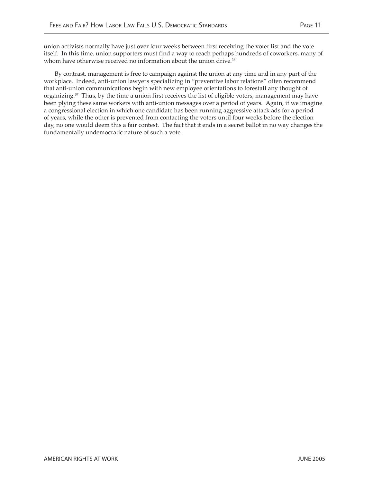union activists normally have just over four weeks between first receiving the voter list and the vote itself. In this time, union supporters must find a way to reach perhaps hundreds of coworkers, many of whom have otherwise received no information about the union drive.<sup>36</sup>

By contrast, management is free to campaign against the union at any time and in any part of the workplace. Indeed, anti-union lawyers specializing in "preventive labor relations" often recommend that anti-union communications begin with new employee orientations to forestall any thought of organizing. $37$  Thus, by the time a union first receives the list of eligible voters, management may have been plying these same workers with anti-union messages over a period of years. Again, if we imagine a congressional election in which one candidate has been running aggressive attack ads for a period of years, while the other is prevented from contacting the voters until four weeks before the election day, no one would deem this a fair contest. The fact that it ends in a secret ballot in no way changes the fundamentally undemocratic nature of such a vote.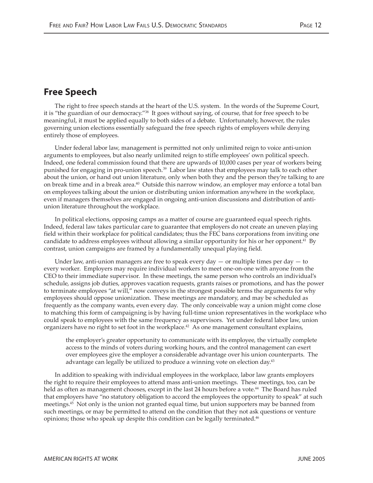## **Free Speech**

The right to free speech stands at the heart of the U.S. system. In the words of the Supreme Court, it is "the guardian of our democracy."38 It goes without saying, of course, that for free speech to be meaningful, it must be applied equally to both sides of a debate. Unfortunately, however, the rules governing union elections essentially safeguard the free speech rights of employers while denying entirely those of employees.

Under federal labor law, management is permitted not only unlimited reign to voice anti-union arguments to employees, but also nearly unlimited reign to stifle employees' own political speech. Indeed, one federal commission found that there are upwards of 10,000 cases per year of workers being punished for engaging in pro-union speech.39 Labor law states that employees may talk to each other about the union, or hand out union literature, only when both they and the person they're talking to are on break time and in a break area.40 Outside this narrow window, an employer may enforce a total ban on employees talking about the union or distributing union information anywhere in the workplace, even if managers themselves are engaged in ongoing anti-union discussions and distribution of antiunion literature throughout the workplace.

In political elections, opposing camps as a matter of course are guaranteed equal speech rights. Indeed, federal law takes particular care to guarantee that employers do not create an uneven playing field within their workplace for political candidates; thus the FEC bans corporations from inviting one candidate to address employees without allowing a similar opportunity for his or her opponent.<sup>41</sup> By contrast, union campaigns are framed by a fundamentally unequal playing field.

Under law, anti-union managers are free to speak every day  $-$  or multiple times per day  $-$  to every worker. Employers may require individual workers to meet one-on-one with anyone from the CEO to their immediate supervisor. In these meetings, the same person who controls an individual's schedule, assigns job duties, approves vacation requests, grants raises or promotions, and has the power to terminate employees "at will," now conveys in the strongest possible terms the arguments for why employees should oppose unionization. These meetings are mandatory, and may be scheduled as frequently as the company wants, even every day. The only conceivable way a union might come close to matching this form of campaigning is by having full-time union representatives in the workplace who could speak to employees with the same frequency as supervisors. Yet under federal labor law, union organizers have no right to set foot in the workplace.<sup>42</sup> As one management consultant explains,

the employer's greater opportunity to communicate with its employee, the virtually complete access to the minds of voters during working hours, and the control management can exert over employees give the employer a considerable advantage over his union counterparts. The advantage can legally be utilized to produce a winning vote on election day.<sup>43</sup>

In addition to speaking with individual employees in the workplace, labor law grants employers the right to require their employees to attend mass anti-union meetings. These meetings, too, can be held as often as management chooses, except in the last 24 hours before a vote.<sup>44</sup> The Board has ruled that employers have "no statutory obligation to accord the employees the opportunity to speak" at such meetings.<sup>45</sup> Not only is the union not granted equal time, but union supporters may be banned from such meetings, or may be permitted to attend on the condition that they not ask questions or venture opinions; those who speak up despite this condition can be legally terminated.<sup>46</sup>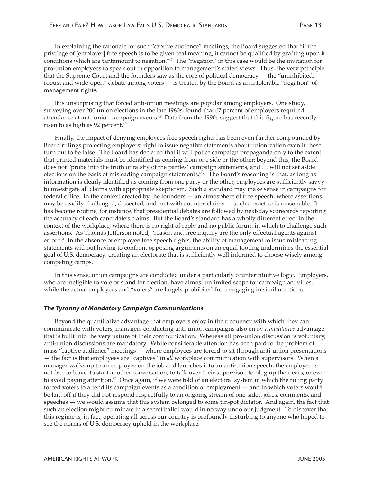In explaining the rationale for such "captive audience" meetings, the Board suggested that "if the privilege of [employer] free speech is to be given real meaning, it cannot be qualified by grafting upon it conditions which are tantamount to negation."47 The "negation" in this case would be the invitation for pro-union employees to speak out in opposition to management's stated views. Thus, the very principle that the Supreme Court and the founders saw as the core of political democracy  $-$  the "uninhibited, robust and wide-open" debate among voters — is treated by the Board as an intolerable "negation" of management rights.

It is unsurprising that forced anti-union meetings are popular among employers. One study, surveying over 200 union elections in the late 1980s, found that 67 percent of employers required attendance at anti-union campaign events.<sup>48</sup> Data from the 1990s suggest that this figure has recently risen to as high as 92 percent.<sup>49</sup>

Finally, the impact of denying employees free speech rights has been even further compounded by Board rulings protecting employers' right to issue negative statements about unionization even if these turn out to be false. The Board has declared that it will police campaign propaganda only to the extent that printed materials must be identified as coming from one side or the other; beyond this, the Board does not "probe into the truth or falsity of the parties' campaign statements, and … will not set aside elections on the basis of misleading campaign statements."50 The Board's reasoning is that, as long as information is clearly identified as coming from one party or the other, employees are sufficiently savvy to investigate all claims with appropriate skepticism. Such a standard may make sense in campaigns for federal office. In the context created by the founders — an atmosphere of free speech, where assertions may be readily challenged, dissected, and met with counter-claims — such a practice is reasonable. It has become routine, for instance, that presidential debates are followed by next-day scorecards reporting the accuracy of each candidate's claims. But the Board's standard has a wholly different effect in the context of the workplace, where there is no right of reply and no public forum in which to challenge such assertions. As Thomas Jefferson noted, "reason and free inquiry are the only effectual agents against error."<sup>51</sup> In the absence of employee free speech rights, the ability of management to issue misleading statements without having to confront opposing arguments on an equal footing undermines the essential goal of U.S. democracy: creating an electorate that is sufficiently well informed to choose wisely among competing camps.

In this sense, union campaigns are conducted under a particularly counterintuitive logic. Employers, who are ineligible to vote or stand for election, have almost unlimited scope for campaign activities, while the actual employees and "voters" are largely prohibited from engaging in similar actions.

#### **The Tyranny of Mandatory Campaign Communications**

Beyond the quantitative advantage that employers enjoy in the frequency with which they can communicate with voters, managers conducting anti-union campaigns also enjoy a *qualitative* advantage that is built into the very nature of their communication. Whereas all pro-union discussion is voluntary, anti-union discussions are mandatory. While considerable attention has been paid to the problem of mass "captive audience" meetings — where employees are forced to sit through anti-union presentations — the fact is that employees are "captives" in *all* workplace communication with supervisors. When a manager walks up to an employee on the job and launches into an anti-union speech, the employee is not free to leave, to start another conversation, to talk over their supervisor, to plug up their ears, or even to avoid paying attention.<sup>52</sup> Once again, if we were told of an electoral system in which the ruling party forced voters to attend its campaign events as a condition of employment — and in which voters would be laid off if they did not respond respectfully to an ongoing stream of one-sided jokes, comments, and speeches — we would assume that this system belonged to some tin-pot dictator. And again, the fact that such an election might culminate in a secret ballot would in no way undo our judgment. To discover that this regime is, in fact, operating all across our country is profoundly disturbing to anyone who hoped to see the norms of U.S. democracy upheld in the workplace.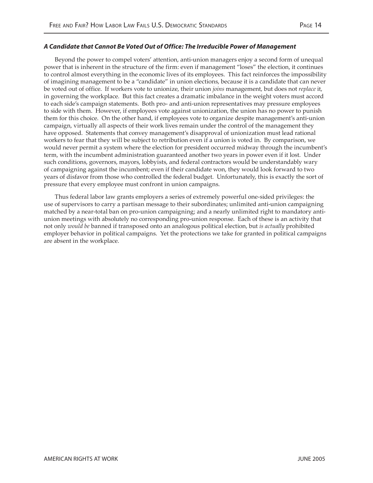#### **A Candidate that Cannot Be Voted Out of Office: The Irreducible Power of Management**

Beyond the power to compel voters' attention, anti-union managers enjoy a second form of unequal power that is inherent in the structure of the firm: even if management "loses" the election, it continues to control almost everything in the economic lives of its employees. This fact reinforces the impossibility of imagining management to be a "candidate" in union elections, because it is a candidate that can never be voted out of office. If workers vote to unionize, their union *joins* management, but does not *replace* it, in governing the workplace. But this fact creates a dramatic imbalance in the weight voters must accord to each side's campaign statements. Both pro- and anti-union representatives may pressure employees to side with them. However, if employees vote against unionization, the union has no power to punish them for this choice. On the other hand, if employees vote to organize despite management's anti-union campaign, virtually all aspects of their work lives remain under the control of the management they have opposed. Statements that convey management's disapproval of unionization must lead rational workers to fear that they will be subject to retribution even if a union is voted in. By comparison, we would never permit a system where the election for president occurred midway through the incumbent's term, with the incumbent administration guaranteed another two years in power even if it lost. Under such conditions, governors, mayors, lobbyists, and federal contractors would be understandably wary of campaigning against the incumbent; even if their candidate won, they would look forward to two years of disfavor from those who controlled the federal budget. Unfortunately, this is exactly the sort of pressure that every employee must confront in union campaigns.

Thus federal labor law grants employers a series of extremely powerful one-sided privileges: the use of supervisors to carry a partisan message to their subordinates; unlimited anti-union campaigning matched by a near-total ban on pro-union campaigning; and a nearly unlimited right to mandatory antiunion meetings with absolutely no corresponding pro-union response. Each of these is an activity that not only *would be* banned if transposed onto an analogous political election, but *is actually* prohibited employer behavior in political campaigns. Yet the protections we take for granted in political campaigns are absent in the workplace.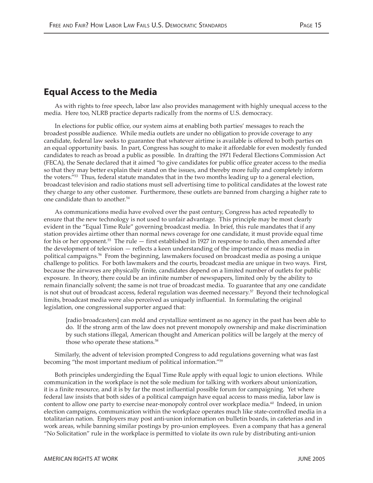### **Equal Access to the Media**

As with rights to free speech, labor law also provides management with highly unequal access to the media. Here too, NLRB practice departs radically from the norms of U.S. democracy.

In elections for public office, our system aims at enabling both parties' messages to reach the broadest possible audience. While media outlets are under no obligation to provide coverage to any candidate, federal law seeks to guarantee that whatever airtime is available is offered to both parties on an equal opportunity basis. In part, Congress has sought to make it affordable for even modestly funded candidates to reach as broad a public as possible. In drafting the 1971 Federal Elections Commission Act (FECA), the Senate declared that it aimed "to give candidates for public office greater access to the media so that they may better explain their stand on the issues, and thereby more fully and completely inform the voters."53 Thus, federal statute mandates that in the two months leading up to a general election, broadcast television and radio stations must sell advertising time to political candidates at the lowest rate they charge to any other customer. Furthermore, these outlets are banned from charging a higher rate to one candidate than to another.54

As communications media have evolved over the past century, Congress has acted repeatedly to ensure that the new technology is not used to unfair advantage. This principle may be most clearly evident in the "Equal Time Rule" governing broadcast media. In brief, this rule mandates that if any station provides airtime other than normal news coverage for one candidate, it must provide equal time for his or her opponent.55 The rule — first established in 1927 in response to radio, then amended after the development of television — reflects a keen understanding of the importance of mass media in political campaigns.56 From the beginning, lawmakers focused on broadcast media as posing a unique challenge to politics. For both lawmakers and the courts, broadcast media are unique in two ways. First, because the airwaves are physically finite, candidates depend on a limited number of outlets for public exposure. In theory, there could be an infinite number of newspapers, limited only by the ability to remain financially solvent; the same is not true of broadcast media. To guarantee that any one candidate is not shut out of broadcast access, federal regulation was deemed necessary.<sup>57</sup> Beyond their technological limits, broadcast media were also perceived as uniquely influential. In formulating the original legislation, one congressional supporter argued that:

[radio broadcasters] can mold and crystallize sentiment as no agency in the past has been able to do. If the strong arm of the law does not prevent monopoly ownership and make discrimination by such stations illegal, American thought and American politics will be largely at the mercy of those who operate these stations.<sup>58</sup>

Similarly, the advent of television prompted Congress to add regulations governing what was fast becoming "the most important medium of political information."59

Both principles undergirding the Equal Time Rule apply with equal logic to union elections. While communication in the workplace is not the sole medium for talking with workers about unionization, it is a finite resource, and it is by far the most influential possible forum for campaigning. Yet where federal law insists that both sides of a political campaign have equal access to mass media, labor law is content to allow one party to exercise near-monopoly control over workplace media.<sup>60</sup> Indeed, in union election campaigns, communication within the workplace operates much like state-controlled media in a totalitarian nation. Employers may post anti-union information on bulletin boards, in cafeterias and in work areas, while banning similar postings by pro-union employees. Even a company that has a general "No Solicitation" rule in the workplace is permitted to violate its own rule by distributing anti-union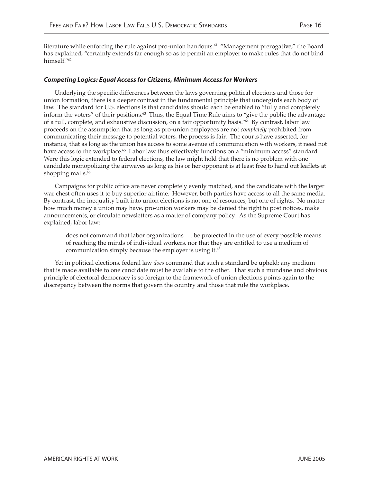literature while enforcing the rule against pro-union handouts.<sup>61</sup> "Management prerogative," the Board has explained, "certainly extends far enough so as to permit an employer to make rules that do not bind himself."62

#### **Competing Logics: Equal Access for Citizens, Minimum Access for Workers**

Underlying the specific differences between the laws governing political elections and those for union formation, there is a deeper contrast in the fundamental principle that undergirds each body of law. The standard for U.S. elections is that candidates should each be enabled to "fully and completely inform the voters" of their positions.<sup>63</sup> Thus, the Equal Time Rule aims to "give the public the advantage" of a full, complete, and exhaustive discussion, on a fair opportunity basis."64 By contrast, labor law proceeds on the assumption that as long as pro-union employees are not *completely* prohibited from communicating their message to potential voters, the process is fair. The courts have asserted, for instance, that as long as the union has access to some avenue of communication with workers, it need not have access to the workplace.<sup>65</sup> Labor law thus effectively functions on a "minimum access" standard. Were this logic extended to federal elections, the law might hold that there is no problem with one candidate monopolizing the airwaves as long as his or her opponent is at least free to hand out leaflets at shopping malls.<sup>66</sup>

Campaigns for public office are never completely evenly matched, and the candidate with the larger war chest often uses it to buy superior airtime. However, both parties have access to all the same media. By contrast, the inequality built into union elections is not one of resources, but one of rights. No matter how much money a union may have, pro-union workers may be denied the right to post notices, make announcements, or circulate newsletters as a matter of company policy. As the Supreme Court has explained, labor law:

does not command that labor organizations …. be protected in the use of every possible means of reaching the minds of individual workers, nor that they are entitled to use a medium of communication simply because the employer is using it. $67$ 

Yet in political elections, federal law *does* command that such a standard be upheld; any medium that is made available to one candidate must be available to the other. That such a mundane and obvious principle of electoral democracy is so foreign to the framework of union elections points again to the discrepancy between the norms that govern the country and those that rule the workplace.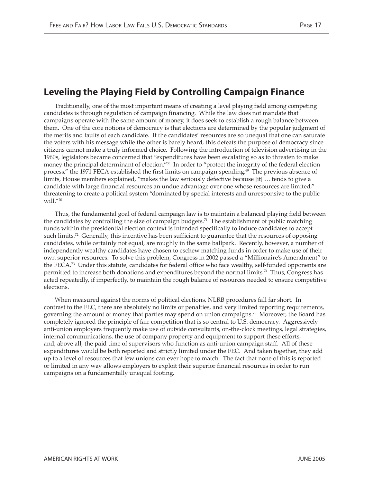# **Leveling the Playing Field by Controlling Campaign Finance**

Traditionally, one of the most important means of creating a level playing field among competing candidates is through regulation of campaign financing. While the law does not mandate that campaigns operate with the same amount of money, it does seek to establish a rough balance between them. One of the core notions of democracy is that elections are determined by the popular judgment of the merits and faults of each candidate. If the candidates' resources are so unequal that one can saturate the voters with his message while the other is barely heard, this defeats the purpose of democracy since citizens cannot make a truly informed choice. Following the introduction of television advertising in the 1960s, legislators became concerned that "expenditures have been escalating so as to threaten to make money the principal determinant of election."68 In order to "protect the integrity of the federal election process," the 1971 FECA established the first limits on campaign spending.<sup>69</sup> The previous absence of limits, House members explained, "makes the law seriously defective because [it] … tends to give a candidate with large financial resources an undue advantage over one whose resources are limited," threatening to create a political system "dominated by special interests and unresponsive to the public will."70

Thus, the fundamental goal of federal campaign law is to maintain a balanced playing field between the candidates by controlling the size of campaign budgets.<sup>71</sup> The establishment of public matching funds within the presidential election context is intended specifically to induce candidates to accept such limits.<sup>72</sup> Generally, this incentive has been sufficient to guarantee that the resources of opposing candidates, while certainly not equal, are roughly in the same ballpark. Recently, however, a number of independently wealthy candidates have chosen to eschew matching funds in order to make use of their own superior resources. To solve this problem, Congress in 2002 passed a "Millionaire's Amendment" to the FECA.73 Under this statute, candidates for federal office who face wealthy, self-funded opponents are permitted to increase both donations and expenditures beyond the normal limits.74 Thus, Congress has acted repeatedly, if imperfectly, to maintain the rough balance of resources needed to ensure competitive elections.

When measured against the norms of political elections, NLRB procedures fall far short. In contrast to the FEC, there are absolutely no limits or penalties, and very limited reporting requirements, governing the amount of money that parties may spend on union campaigns.75 Moreover, the Board has completely ignored the principle of fair competition that is so central to U.S. democracy. Aggressively anti-union employers frequently make use of outside consultants, on-the-clock meetings, legal strategies, internal communications, the use of company property and equipment to support these efforts, and, above all, the paid time of supervisors who function as anti-union campaign staff. All of these expenditures would be both reported and strictly limited under the FEC. And taken together, they add up to a level of resources that few unions can ever hope to match. The fact that none of this is reported or limited in any way allows employers to exploit their superior financial resources in order to run campaigns on a fundamentally unequal footing.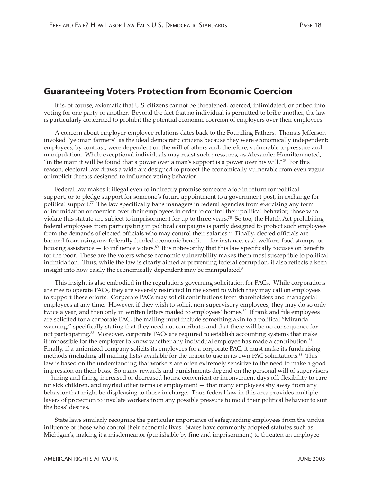## **Guaranteeing Voters Protection from Economic Coercion**

It is, of course, axiomatic that U.S. citizens cannot be threatened, coerced, intimidated, or bribed into voting for one party or another. Beyond the fact that no individual is permitted to bribe another, the law is particularly concerned to prohibit the potential economic coercion of employers over their employees.

A concern about employer-employee relations dates back to the Founding Fathers. Thomas Jefferson invoked "yeoman farmers" as the ideal democratic citizens because they were economically independent; employees, by contrast, were dependent on the will of others and, therefore, vulnerable to pressure and manipulation. While exceptional individuals may resist such pressures, as Alexander Hamilton noted, "in the main it will be found that a power over a man's support is a power over his will."<sup>76</sup> For this reason, electoral law draws a wide arc designed to protect the economically vulnerable from even vague or implicit threats designed to influence voting behavior.

Federal law makes it illegal even to indirectly promise someone a job in return for political support, or to pledge support for someone's future appointment to a government post, in exchange for political support.<sup>77</sup> The law specifically bans managers in federal agencies from exercising any form of intimidation or coercion over their employees in order to control their political behavior; those who violate this statute are subject to imprisonment for up to three years.78 So too, the Hatch Act prohibiting federal employees from participating in political campaigns is partly designed to protect such employees from the demands of elected officials who may control their salaries.79 Finally, elected officials are banned from using any federally funded economic benefit — for instance, cash welfare, food stamps, or housing assistance  $-$  to influence voters.<sup>80</sup> It is noteworthy that this law specifically focuses on benefits for the poor. These are the voters whose economic vulnerability makes them most susceptible to political intimidation. Thus, while the law is clearly aimed at preventing federal corruption, it also reflects a keen insight into how easily the economically dependent may be manipulated.<sup>81</sup>

This insight is also embodied in the regulations governing solicitation for PACs. While corporations are free to operate PACs, they are severely restricted in the extent to which they may call on employees to support these efforts. Corporate PACs may solicit contributions from shareholders and managerial employees at any time. However, if they wish to solicit non-supervisory employees, they may do so only twice a year, and then only in written letters mailed to employees' homes.<sup>82</sup> If rank and file employees are solicited for a corporate PAC, the mailing must include something akin to a political "Miranda warning," specifically stating that they need not contribute, and that there will be no consequence for not participating.<sup>83</sup> Moreover, corporate PACs are required to establish accounting systems that make it impossible for the employer to know whether any individual employee has made a contribution.<sup>84</sup> Finally, if a unionized company solicits its employees for a corporate PAC, it must make its fundraising methods (including all mailing lists) available for the union to use in its own PAC solicitations.<sup>85</sup> This law is based on the understanding that workers are often extremely sensitive to the need to make a good impression on their boss. So many rewards and punishments depend on the personal will of supervisors — hiring and firing, increased or decreased hours, convenient or inconvenient days off, flexibility to care for sick children, and myriad other terms of employment — that many employees shy away from any behavior that might be displeasing to those in charge. Thus federal law in this area provides multiple layers of protection to insulate workers from any possible pressure to mold their political behavior to suit the boss' desires.

State laws similarly recognize the particular importance of safeguarding employees from the undue influence of those who control their economic lives. States have commonly adopted statutes such as Michigan's, making it a misdemeanor (punishable by fine and imprisonment) to threaten an employee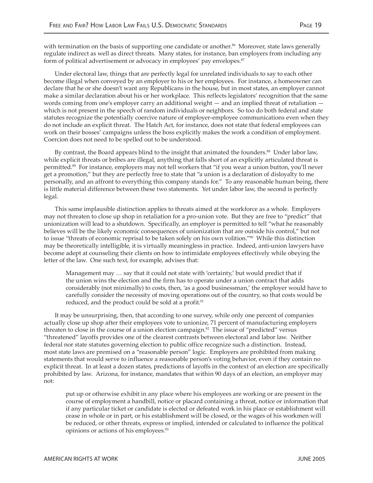with termination on the basis of supporting one candidate or another.<sup>86</sup> Moreover, state laws generally regulate indirect as well as direct threats. Many states, for instance, ban employers from including any form of political advertisement or advocacy in employees' pay envelopes.<sup>87</sup>

Under electoral law, things that are perfectly legal for unrelated individuals to say to each other become illegal when conveyed by an employer to his or her employees. For instance, a homeowner can declare that he or she doesn't want any Republicans in the house, but in most states, an employer cannot make a similar declaration about his or her workplace. This reflects legislators' recognition that the same words coming from one's employer carry an additional weight — and an implied threat of retaliation which is not present in the speech of random individuals or neighbors. So too do both federal and state statutes recognize the potentially coercive nature of employer-employee communications even when they do not include an explicit threat. The Hatch Act, for instance, does not state that federal employees can work on their bosses' campaigns unless the boss explicitly makes the work a condition of employment. Coercion does not need to be spelled out to be understood.

By contrast, the Board appears blind to the insight that animated the founders.<sup>88</sup> Under labor law, while explicit threats or bribes are illegal, anything that falls short of an explicitly articulated threat is permitted.89 For instance, employers may not tell workers that "if you wear a union button, you'll never get a promotion," but they are perfectly free to state that "a union is a declaration of disloyalty to me personally, and an affront to everything this company stands for." To any reasonable human being, there is little material difference between these two statements. Yet under labor law, the second is perfectly legal.

This same implausible distinction applies to threats aimed at the workforce as a whole. Employers may not threaten to close up shop in retaliation for a pro-union vote. But they are free to "predict" that unionization will lead to a shutdown. Specifically, an employer is permitted to tell "what he reasonably believes will be the likely economic consequences of unionization that are outside his control," but not to issue "threats of economic reprisal to be taken solely on his own volition."90 While this distinction may be theoretically intelligible, it is virtually meaningless in practice. Indeed, anti-union lawyers have become adept at counseling their clients on how to intimidate employees effectively while obeying the letter of the law. One such text, for example, advises that:

Management may … say that it could not state with 'certainty,' but would predict that if the union wins the election and the firm has to operate under a union contract that adds considerably (not minimally) to costs, then, 'as a good businessman,' the employer would have to carefully consider the necessity of moving operations out of the country, so that costs would be reduced, and the product could be sold at a profit.<sup>91</sup>

It may be unsurprising, then, that according to one survey, while only one percent of companies actually close up shop after their employees vote to unionize, 71 percent of manufacturing employers threaten to close in the course of a union election campaign.<sup>92</sup> The issue of "predicted" versus "threatened" layoffs provides one of the clearest contrasts between electoral and labor law. Neither federal nor state statutes governing election to public office recognize such a distinction. Instead, most state laws are premised on a "reasonable person" logic. Employers are prohibited from making statements that would serve to influence a reasonable person's voting behavior, even if they contain no explicit threat. In at least a dozen states, predictions of layoffs in the context of an election are specifically prohibited by law. Arizona, for instance, mandates that within 90 days of an election, an employer may not:

put up or otherwise exhibit in any place where his employees are working or are present in the course of employment a handbill, notice or placard containing a threat, notice or information that if any particular ticket or candidate is elected or defeated work in his place or establishment will cease in whole or in part, or his establishment will be closed, or the wages of his workmen will be reduced, or other threats, express or implied, intended or calculated to influence the political opinions or actions of his employees.93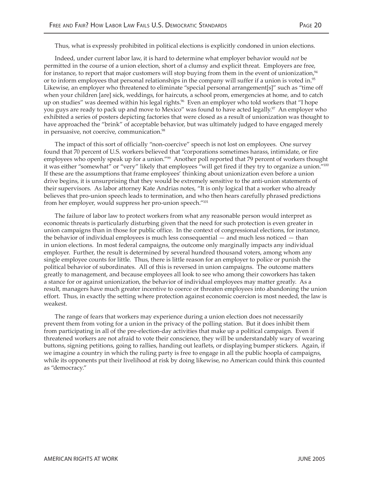Thus, what is expressly prohibited in political elections is explicitly condoned in union elections.

Indeed, under current labor law, it is hard to determine what employer behavior would *not* be permitted in the course of a union election, short of a clumsy and explicit threat. Employers are free, for instance, to report that major customers will stop buying from them in the event of unionization, $94$ or to inform employees that personal relationships in the company will suffer if a union is voted in.95 Likewise, an employer who threatened to eliminate "special personal arrangement[s]" such as "time off when your children [are] sick, weddings, for haircuts, a school prom, emergencies at home, and to catch up on studies" was deemed within his legal rights.<sup>96</sup> Even an employer who told workers that "I hope you guys are ready to pack up and move to Mexico" was found to have acted legally.<sup>97</sup> An employer who exhibited a series of posters depicting factories that were closed as a result of unionization was thought to have approached the "brink" of acceptable behavior, but was ultimately judged to have engaged merely in persuasive, not coercive, communication.<sup>98</sup>

The impact of this sort of officially "non-coercive" speech is not lost on employees. One survey found that 70 percent of U.S. workers believed that "corporations sometimes harass, intimidate, or fire employees who openly speak up for a union."99 Another poll reported that 79 percent of workers thought it was either "somewhat" or "very" likely that employees "will get fired if they try to organize a union."100 If these are the assumptions that frame employees' thinking about unionization even before a union drive begins, it is unsurprising that they would be extremely sensitive to the anti-union statements of their supervisors. As labor attorney Kate Andrias notes, "It is only logical that a worker who already believes that pro-union speech leads to termination, and who then hears carefully phrased predictions from her employer, would suppress her pro-union speech."101

The failure of labor law to protect workers from what any reasonable person would interpret as economic threats is particularly disturbing given that the need for such protection is even greater in union campaigns than in those for public office. In the context of congressional elections, for instance, the behavior of individual employees is much less consequential — and much less noticed — than in union elections. In most federal campaigns, the outcome only marginally impacts any individual employer. Further, the result is determined by several hundred thousand voters, among whom any single employee counts for little. Thus, there is little reason for an employer to police or punish the political behavior of subordinates. All of this is reversed in union campaigns. The outcome matters greatly to management, and because employees all look to see who among their coworkers has taken a stance for or against unionization, the behavior of individual employees may matter greatly. As a result, managers have much greater incentive to coerce or threaten employees into abandoning the union effort. Thus, in exactly the setting where protection against economic coercion is most needed, the law is weakest.

The range of fears that workers may experience during a union election does not necessarily prevent them from voting for a union in the privacy of the polling station. But it does inhibit them from participating in all of the pre-election-day activities that make up a political campaign. Even if threatened workers are not afraid to vote their conscience, they will be understandably wary of wearing buttons, signing petitions, going to rallies, handing out leaflets, or displaying bumper stickers. Again, if we imagine a country in which the ruling party is free to engage in all the public hoopla of campaigns, while its opponents put their livelihood at risk by doing likewise, no American could think this counted as "democracy."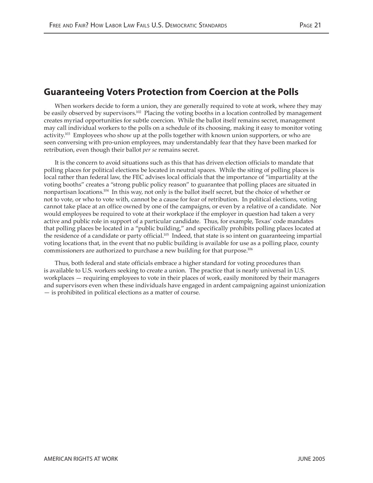# **Guaranteeing Voters Protection from Coercion at the Polls**

When workers decide to form a union, they are generally required to vote at work, where they may be easily observed by supervisors.<sup>102</sup> Placing the voting booths in a location controlled by management creates myriad opportunities for subtle coercion. While the ballot itself remains secret, management may call individual workers to the polls on a schedule of its choosing, making it easy to monitor voting activity.<sup>103</sup> Employees who show up at the polls together with known union supporters, or who are seen conversing with pro-union employees, may understandably fear that they have been marked for retribution, even though their ballot *per se* remains secret.

It is the concern to avoid situations such as this that has driven election officials to mandate that polling places for political elections be located in neutral spaces. While the siting of polling places is local rather than federal law, the FEC advises local officials that the importance of "impartiality at the voting booths" creates a "strong public policy reason" to guarantee that polling places are situated in nonpartisan locations.104 In this way, not only is the ballot itself secret, but the choice of whether or not to vote, or who to vote with, cannot be a cause for fear of retribution. In political elections, voting cannot take place at an office owned by one of the campaigns, or even by a relative of a candidate. Nor would employees be required to vote at their workplace if the employer in question had taken a very active and public role in support of a particular candidate. Thus, for example, Texas' code mandates that polling places be located in a "public building," and specifically prohibits polling places located at the residence of a candidate or party official.105 Indeed, that state is so intent on guaranteeing impartial voting locations that, in the event that no public building is available for use as a polling place, county commissioners are authorized to purchase a new building for that purpose.106

Thus, both federal and state officials embrace a higher standard for voting procedures than is available to U.S. workers seeking to create a union. The practice that is nearly universal in U.S. workplaces — requiring employees to vote in their places of work, easily monitored by their managers and supervisors even when these individuals have engaged in ardent campaigning against unionization — is prohibited in political elections as a matter of course.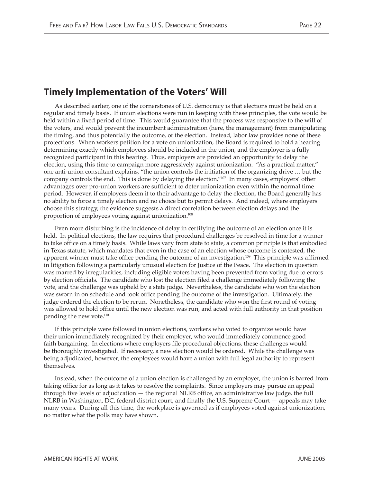### **Timely Implementation of the Voters' Will**

As described earlier, one of the cornerstones of U.S. democracy is that elections must be held on a regular and timely basis. If union elections were run in keeping with these principles, the vote would be held within a fixed period of time. This would guarantee that the process was responsive to the will of the voters, and would prevent the incumbent administration (here, the management) from manipulating the timing, and thus potentially the outcome, of the election. Instead, labor law provides none of these protections. When workers petition for a vote on unionization, the Board is required to hold a hearing determining exactly which employees should be included in the union, and the employer is a fully recognized participant in this hearing. Thus, employers are provided an opportunity to delay the election, using this time to campaign more aggressively against unionization. "As a practical matter," one anti-union consultant explains, "the union controls the initiation of the organizing drive … but the company controls the end. This is done by delaying the election."107 In many cases, employers' other advantages over pro-union workers are sufficient to deter unionization even within the normal time period. However, if employers deem it to their advantage to delay the election, the Board generally has no ability to force a timely election and no choice but to permit delays. And indeed, where employers choose this strategy, the evidence suggests a direct correlation between election delays and the proportion of employees voting against unionization.108

Even more disturbing is the incidence of delay in certifying the outcome of an election once it is held. In political elections, the law requires that procedural challenges be resolved in time for a winner to take office on a timely basis. While laws vary from state to state, a common principle is that embodied in Texas statute, which mandates that even in the case of an election whose outcome is contested, the apparent winner must take office pending the outcome of an investigation.<sup>109</sup> This principle was affirmed in litigation following a particularly unusual election for Justice of the Peace. The election in question was marred by irregularities, including eligible voters having been prevented from voting due to errors by election officials. The candidate who lost the election filed a challenge immediately following the vote, and the challenge was upheld by a state judge. Nevertheless, the candidate who won the election was sworn in on schedule and took office pending the outcome of the investigation. Ultimately, the judge ordered the election to be rerun. Nonetheless, the candidate who won the first round of voting was allowed to hold office until the new election was run, and acted with full authority in that position pending the new vote.<sup>110</sup>

If this principle were followed in union elections, workers who voted to organize would have their union immediately recognized by their employer, who would immediately commence good faith bargaining. In elections where employers file procedural objections, these challenges would be thoroughly investigated. If necessary, a new election would be ordered. While the challenge was being adjudicated, however, the employees would have a union with full legal authority to represent themselves.

Instead, when the outcome of a union election is challenged by an employer, the union is barred from taking office for as long as it takes to resolve the complaints. Since employers may pursue an appeal through five levels of adjudication — the regional NLRB office, an administrative law judge, the full NLRB in Washington, DC, federal district court, and finally the U.S. Supreme Court — appeals may take many years. During all this time, the workplace is governed as if employees voted against unionization, no matter what the polls may have shown.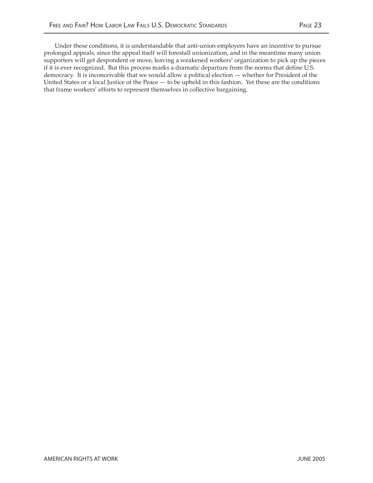Under these conditions, it is understandable that anti-union employers have an incentive to pursue prolonged appeals, since the appeal itself will forestall unionization, and in the meantime many union supporters will get despondent or move, leaving a weakened workers' organization to pick up the pieces if it is ever recognized. But this process marks a dramatic departure from the norms that define U.S. democracy. It is inconceivable that we would allow a political election — whether for President of the United States or a local Justice of the Peace — to be upheld in this fashion. Yet these are the conditions that frame workers' efforts to represent themselves in collective bargaining.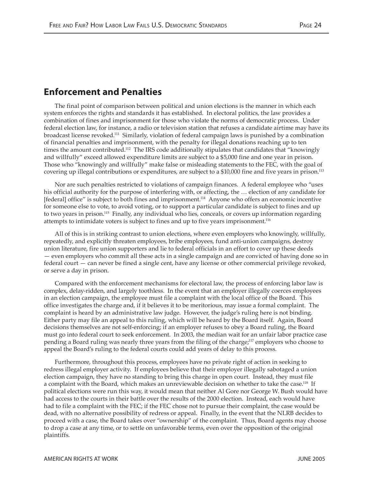# **Enforcement and Penalties**

The final point of comparison between political and union elections is the manner in which each system enforces the rights and standards it has established. In electoral politics, the law provides a combination of fines and imprisonment for those who violate the norms of democratic process. Under federal election law, for instance, a radio or television station that refuses a candidate airtime may have its broadcast license revoked.111 Similarly, violation of federal campaign laws is punished by a combination of financial penalties and imprisonment, with the penalty for illegal donations reaching up to ten times the amount contributed.112 The IRS code additionally stipulates that candidates that "knowingly and willfully" exceed allowed expenditure limits are subject to a \$5,000 fine and one year in prison. Those who "knowingly and willfully" make false or misleading statements to the FEC, with the goal of covering up illegal contributions or expenditures, are subject to a \$10,000 fine and five years in prison.113

Nor are such penalties restricted to violations of campaign finances. A federal employee who "uses his official authority for the purpose of interfering with, or affecting, the … election of any candidate for [federal] office" is subject to both fines and imprisonment.<sup>114</sup> Anyone who offers an economic incentive for someone else to vote, to avoid voting, or to support a particular candidate is subject to fines and up to two years in prison.115 Finally, any individual who lies, conceals, or covers up information regarding attempts to intimidate voters is subject to fines and up to five years imprisonment.116

All of this is in striking contrast to union elections, where even employers who knowingly, willfully, repeatedly, and explicitly threaten employees, bribe employees, fund anti-union campaigns, destroy union literature, fire union supporters and lie to federal officials in an effort to cover up these deeds — even employers who commit all these acts in a single campaign and are convicted of having done so in federal court — can never be fined a single cent, have any license or other commercial privilege revoked, or serve a day in prison.

Compared with the enforcement mechanisms for electoral law, the process of enforcing labor law is complex, delay-ridden, and largely toothless. In the event that an employer illegally coerces employees in an election campaign, the employee must file a complaint with the local office of the Board. This office investigates the charge and, if it believes it to be meritorious, may issue a formal complaint. The complaint is heard by an administrative law judge. However, the judge's ruling here is not binding. Either party may file an appeal to this ruling, which will be heard by the Board itself. Again, Board decisions themselves are not self-enforcing; if an employer refuses to obey a Board ruling, the Board must go into federal court to seek enforcement. In 2003, the median wait for an unfair labor practice case pending a Board ruling was nearly three years from the filing of the charge;<sup>117</sup> employers who choose to appeal the Board's ruling to the federal courts could add years of delay to this process.

Furthermore, throughout this process, employees have no private right of action in seeking to redress illegal employer activity. If employees believe that their employer illegally sabotaged a union election campaign, they have no standing to bring this charge in open court. Instead, they must file a complaint with the Board, which makes an unreviewable decision on whether to take the case.118 If political elections were run this way, it would mean that neither Al Gore nor George W. Bush would have had access to the courts in their battle over the results of the 2000 election. Instead, each would have had to file a complaint with the FEC; if the FEC chose not to pursue their complaint, the case would be dead, with no alternative possibility of redress or appeal. Finally, in the event that the NLRB decides to proceed with a case, the Board takes over "ownership" of the complaint. Thus, Board agents may choose to drop a case at any time, or to settle on unfavorable terms, even over the opposition of the original plaintiffs.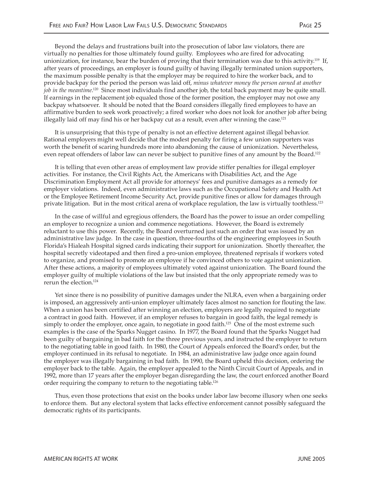Beyond the delays and frustrations built into the prosecution of labor law violators, there are virtually no penalties for those ultimately found guilty. Employees who are fired for advocating unionization, for instance, bear the burden of proving that their termination was due to this activity.<sup>119</sup> If, after years of proceedings, an employer is found guilty of having illegally terminated union supporters, the maximum possible penalty is that the employer may be required to hire the worker back, and to provide backpay for the period the person was laid off, *minus whatever money the person earned at another job in the meantime*.<sup>120</sup> Since most individuals find another job, the total back payment may be quite small. If earnings in the replacement job equaled those of the former position, the employer may not owe any backpay whatsoever. It should be noted that the Board considers illegally fired employees to have an affirmative burden to seek work proactively; a fired worker who does not look for another job after being illegally laid off may find his or her backpay cut as a result, even after winning the case.<sup>121</sup>

It is unsurprising that this type of penalty is not an effective deterrent against illegal behavior. Rational employers might well decide that the modest penalty for firing a few union supporters was worth the benefit of scaring hundreds more into abandoning the cause of unionization. Nevertheless, even repeat offenders of labor law can never be subject to punitive fines of any amount by the Board.<sup>122</sup>

It is telling that even other areas of employment law provide stiffer penalties for illegal employer activities. For instance, the Civil Rights Act, the Americans with Disabilities Act, and the Age Discrimination Employment Act all provide for attorneys' fees and punitive damages as a remedy for employer violations. Indeed, even administrative laws such as the Occupational Safety and Health Act or the Employee Retirement Income Security Act, provide punitive fines or allow for damages through private litigation. But in the most critical arena of workplace regulation, the law is virtually toothless.123

In the case of willful and egregious offenders, the Board has the power to issue an order compelling an employer to recognize a union and commence negotiations. However, the Board is extremely reluctant to use this power. Recently, the Board overturned just such an order that was issued by an administrative law judge. In the case in question, three-fourths of the engineering employees in South Florida's Hialeah Hospital signed cards indicating their support for unionization. Shortly thereafter, the hospital secretly videotaped and then fired a pro-union employee, threatened reprisals if workers voted to organize, and promised to promote an employee if he convinced others to vote against unionization. After these actions, a majority of employees ultimately voted against unionization. The Board found the employer guilty of multiple violations of the law but insisted that the only appropriate remedy was to rerun the election.124

Yet since there is no possibility of punitive damages under the NLRA, even when a bargaining order is imposed, an aggressively anti-union employer ultimately faces almost no sanction for flouting the law. When a union has been certified after winning an election, employers are legally required to negotiate a contract in good faith. However, if an employer refuses to bargain in good faith, the legal remedy is simply to order the employer, once again, to negotiate in good faith.<sup>125</sup> One of the most extreme such examples is the case of the Sparks Nugget casino. In 1977, the Board found that the Sparks Nugget had been guilty of bargaining in bad faith for the three previous years, and instructed the employer to return to the negotiating table in good faith. In 1980, the Court of Appeals enforced the Board's order, but the employer continued in its refusal to negotiate. In 1984, an administrative law judge once again found the employer was illegally bargaining in bad faith. In 1990, the Board upheld this decision, ordering the employer back to the table. Again, the employer appealed to the Ninth Circuit Court of Appeals, and in 1992, more than 17 years after the employer began disregarding the law, the court enforced another Board order requiring the company to return to the negotiating table.<sup>126</sup>

Thus, even those protections that exist on the books under labor law become illusory when one seeks to enforce them. But any electoral system that lacks effective enforcement cannot possibly safeguard the democratic rights of its participants.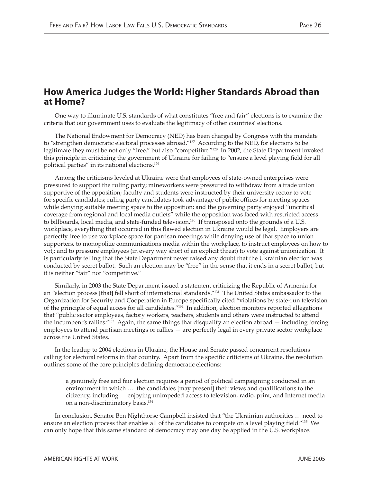### **How America Judges the World: Higher Standards Abroad than at Home?**

One way to illuminate U.S. standards of what constitutes "free and fair" elections is to examine the criteria that our government uses to evaluate the legitimacy of other countries' elections.

The National Endowment for Democracy (NED) has been charged by Congress with the mandate to "strengthen democratic electoral processes abroad."127 According to the NED, for elections to be legitimate they must be not only "free," but also "competitive."128 In 2002, the State Department invoked this principle in criticizing the government of Ukraine for failing to "ensure a level playing field for all political parties" in its national elections.129

Among the criticisms leveled at Ukraine were that employees of state-owned enterprises were pressured to support the ruling party; mineworkers were pressured to withdraw from a trade union supportive of the opposition; faculty and students were instructed by their university rector to vote for specific candidates; ruling party candidates took advantage of public offices for meeting spaces while denying suitable meeting space to the opposition; and the governing party enjoyed "uncritical coverage from regional and local media outlets" while the opposition was faced with restricted access to billboards, local media, and state-funded television.<sup>130</sup> If transposed onto the grounds of a U.S. workplace, everything that occurred in this flawed election in Ukraine would be legal. Employers are perfectly free to use workplace space for partisan meetings while denying use of that space to union supporters, to monopolize communications media within the workplace, to instruct employees on how to vot,; and to pressure employees (in every way short of an explicit threat) to vote against unionization. It is particularly telling that the State Department never raised any doubt that the Ukrainian election was conducted by secret ballot. Such an election may be "free" in the sense that it ends in a secret ballot, but it is neither "fair" nor "competitive."

Similarly, in 2003 the State Department issued a statement criticizing the Republic of Armenia for an "election process [that] fell short of international standards."131 The United States ambassador to the Organization for Security and Cooperation in Europe specifically cited "violations by state-run television of the principle of equal access for all candidates."132 In addition, election monitors reported allegations that "public sector employees, factory workers, teachers, students and others were instructed to attend the incumbent's rallies."<sup>133</sup> Again, the same things that disqualify an election abroad  $-$  including forcing employees to attend partisan meetings or rallies — are perfectly legal in every private sector workplace across the United States.

In the leadup to 2004 elections in Ukraine, the House and Senate passed concurrent resolutions calling for electoral reforms in that country. Apart from the specific criticisms of Ukraine, the resolution outlines some of the core principles defining democratic elections:

a genuinely free and fair election requires a period of political campaigning conducted in an environment in which … the candidates [may present] their views and qualifications to the citizenry, including … enjoying unimpeded access to television, radio, print, and Internet media on a non-discriminatory basis.134

In conclusion, Senator Ben Nighthorse Campbell insisted that "the Ukrainian authorities … need to ensure an election process that enables all of the candidates to compete on a level playing field."135 We can only hope that this same standard of democracy may one day be applied in the U.S. workplace.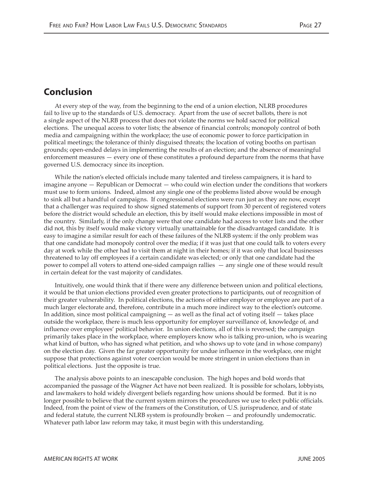### **Conclusion**

At every step of the way, from the beginning to the end of a union election, NLRB procedures fail to live up to the standards of U.S. democracy. Apart from the use of secret ballots, there is not a single aspect of the NLRB process that does not violate the norms we hold sacred for political elections. The unequal access to voter lists; the absence of financial controls; monopoly control of both media and campaigning within the workplace; the use of economic power to force participation in political meetings; the tolerance of thinly disguised threats; the location of voting booths on partisan grounds; open-ended delays in implementing the results of an election; and the absence of meaningful enforcement measures — every one of these constitutes a profound departure from the norms that have governed U.S. democracy since its inception.

While the nation's elected officials include many talented and tireless campaigners, it is hard to imagine anyone — Republican or Democrat — who could win election under the conditions that workers must use to form unions. Indeed, almost any single one of the problems listed above would be enough to sink all but a handful of campaigns. If congressional elections were run just as they are now, except that a challenger was required to show signed statements of support from 30 percent of registered voters before the district would schedule an election, this by itself would make elections impossible in most of the country. Similarly, if the only change were that one candidate had access to voter lists and the other did not, this by itself would make victory virtually unattainable for the disadvantaged candidate. It is easy to imagine a similar result for each of these failures of the NLRB system: if the only problem was that one candidate had monopoly control over the media; if it was just that one could talk to voters every day at work while the other had to visit them at night in their homes; if it was only that local businesses threatened to lay off employees if a certain candidate was elected; or only that one candidate had the power to compel all voters to attend one-sided campaign rallies — any single one of these would result in certain defeat for the vast majority of candidates.

Intuitively, one would think that if there were any difference between union and political elections, it would be that union elections provided even greater protections to participants, out of recognition of their greater vulnerability. In political elections, the actions of either employer or employee are part of a much larger electorate and, therefore, contribute in a much more indirect way to the election's outcome. In addition, since most political campaigning — as well as the final act of voting itself — takes place outside the workplace, there is much less opportunity for employer surveillance of, knowledge of, and influence over employees' political behavior. In union elections, all of this is reversed; the campaign primarily takes place in the workplace, where employers know who is talking pro-union, who is wearing what kind of button, who has signed what petition, and who shows up to vote (and in whose company) on the election day. Given the far greater opportunity for undue influence in the workplace, one might suppose that protections against voter coercion would be more stringent in union elections than in political elections. Just the opposite is true.

The analysis above points to an inescapable conclusion. The high hopes and bold words that accompanied the passage of the Wagner Act have not been realized. It is possible for scholars, lobbyists, and lawmakers to hold widely divergent beliefs regarding how unions should be formed. But it is no longer possible to believe that the current system mirrors the procedures we use to elect public officials. Indeed, from the point of view of the framers of the Constitution, of U.S. jurisprudence, and of state and federal statute, the current NLRB system is profoundly broken — and profoundly undemocratic. Whatever path labor law reform may take, it must begin with this understanding.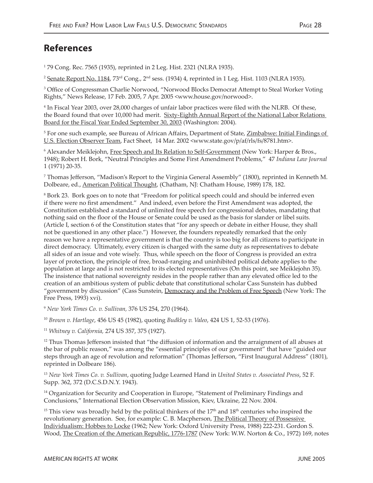# **References**

1 79 Cong. Rec. 7565 (1935), reprinted in 2 Leg. Hist. 2321 (NLRA 1935).

<sup>2</sup> Senate Report No. 1184, 73<sup>rd</sup> Cong., 2<sup>nd</sup> sess. (1934) 4, reprinted in 1 Leg. Hist. 1103 (NLRA 1935).

<sup>3</sup> Office of Congressman Charlie Norwood, "Norwood Blocks Democrat Attempt to Steal Worker Voting Rights," News Release, 17 Feb. 2005, 7 Apr. 2005 <www.house.gov/norwood>.

4 In Fiscal Year 2003, over 28,000 charges of unfair labor practices were filed with the NLRB. Of these, the Board found that over 10,000 had merit. Sixty-Eighth Annual Report of the National Labor Relations Board for the Fiscal Year Ended September 30, 2003 (Washington: 2004).

<sup>5</sup> For one such example, see Bureau of African Affairs, Department of State, <u>Zimbabwe: Initial Findings of</u> U.S. Election Observer Team, Fact Sheet, 14 Mar. 2002 <www.state.gov/p/af/rls/fs/8781.htm>.

<sup>6</sup> Alexander Meiklejohn, <u>Free Speech and Its Relation to Self-Government</u> (New York: Harper & Bros., 1948); Robert H. Bork, "Neutral Principles and Some First Amendment Problems," 47 *Indiana Law Journal* 1 (1971) 20-35.

7 Thomas Jefferson, "Madison's Report to the Virginia General Assembly" (1800), reprinted in Kenneth M. Dolbeare, ed., American Political Thought, (Chatham, NJ: Chatham House, 1989) 178, 182.

<sup>8</sup> Bork 23. Bork goes on to note that "Freedom for political speech could and should be inferred even if there were no first amendment." And indeed, even before the First Amendment was adopted, the Constitution established a standard of unlimited free speech for congressional debates, mandating that nothing said on the floor of the House or Senate could be used as the basis for slander or libel suits. (Article I, section 6 of the Constitution states that "for any speech or debate in either House, they shall not be questioned in any other place.") However, the founders repeatedly remarked that the only reason we have a representative government is that the country is too big for all citizens to participate in direct democracy. Ultimately, every citizen is charged with the same duty as representatives to debate all sides of an issue and vote wisely. Thus, while speech on the floor of Congress is provided an extra layer of protection, the principle of free, broad-ranging and uninhibited political debate applies to the population at large and is not restricted to its elected representatives (On this point, see Meiklejohn 35). The insistence that national sovereignty resides in the people rather than any elevated office led to the creation of an ambitious system of public debate that constitutional scholar Cass Sunstein has dubbed "government by discussion" (Cass Sunstein, Democracy and the Problem of Free Speech (New York: The Free Press, 1993) xvi).

<sup>9</sup> *New York Times Co. v. Sullivan,* 376 US 254, 270 (1964).

<sup>10</sup> *Brown v. Hartlage*, 456 US 45 (1982), quoting *Budkley v. Valeo*, 424 US 1, 52-53 (1976).

<sup>11</sup> *Whitney v. California,* 274 US 357, 375 (1927).

 $12$  Thus Thomas Jefferson insisted that "the diffusion of information and the arraignment of all abuses at the bar of public reason," was among the "essential principles of our government" that have "guided our steps through an age of revolution and reformation" (Thomas Jefferson, "First Inaugural Address" (1801), reprinted in Dolbeare 186).

<sup>13</sup> *New York Times Co. v. Sullivan*, quoting Judge Learned Hand in *United States v. Associated Press*, 52 F. Supp. 362, 372 (D.C.S.D.N.Y. 1943).

<sup>14</sup> Organization for Security and Cooperation in Europe, "Statement of Preliminary Findings and Conclusions," International Election Observation Mission, Kiev, Ukraine, 22 Nov. 2004.

<sup>15</sup> This view was broadly held by the political thinkers of the  $17<sup>th</sup>$  and  $18<sup>th</sup>$  centuries who inspired the revolutionary generation. See, for example: C. B. Macpherson, The Political Theory of Possessive Individualism: Hobbes to Locke (1962; New York: Oxford University Press, 1988) 222-231. Gordon S. Wood, The Creation of the American Republic, 1776-1787 (New York: W.W. Norton & Co., 1972) 169, notes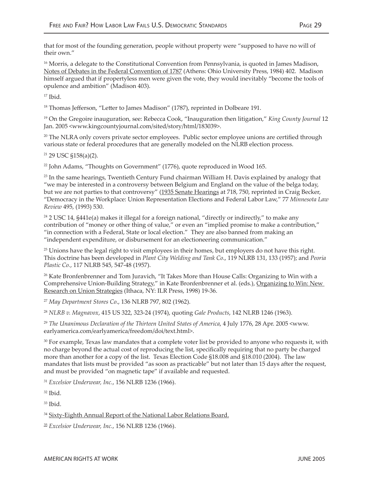that for most of the founding generation, people without property were "supposed to have no will of their own."

<sup>16</sup> Morris, a delegate to the Constitutional Convention from Pennsylvania, is quoted in James Madison, Notes of Debates in the Federal Convention of 1787 (Athens: Ohio University Press, 1984) 402. Madison himself argued that if propertyless men were given the vote, they would inevitably "become the tools of opulence and ambition" (Madison 403).

 $17$  Ibid.

<sup>18</sup> Thomas Jefferson, "Letter to James Madison" (1787), reprinted in Dolbeare 191.

19 On the Gregoire inauguration, see: Rebecca Cook, "Inauguration then litigation," *King County Journal* 12 Jan. 2005 <www.kingcountyjournal.com/sited/story/html/183039>.

 $20$  The NLRA only covers private sector employees. Public sector employee unions are certified through various state or federal procedures that are generally modeled on the NLRB election process.

21 29 USC §158(a)(2).

<sup>22</sup> John Adams, "Thoughts on Government" (1776), quote reproduced in Wood 165.

 $23$  In the same hearings, Twentieth Century Fund chairman William H. Davis explained by analogy that "we may be interested in a controversy between Belgium and England on the value of the belga today, but we are not parties to that controversy" (1935 Senate Hearings at 718, 750, reprinted in Craig Becker, "Democracy in the Workplace: Union Representation Elections and Federal Labor Law," 77 *Minnesota Law Review* 495, (1993) 530.

<sup>24</sup> 2 USC 14, §441e(a) makes it illegal for a foreign national, "directly or indirectly," to make any contribution of "money or other thing of value," or even an "implied promise to make a contribution," "in connection with a Federal, State or local election." They are also banned from making an "independent expenditure, or disbursement for an electioneering communication."

 $25$  Unions have the legal right to visit employees in their homes, but employers do not have this right. This doctrine has been developed in *Plant City Welding and Tank Co*., 119 NLRB 131, 133 (1957); and *Peoria Plastic Co.*, 117 NLRB 545, 547-48 (1957).

<sup>26</sup> Kate Bronfenbrenner and Tom Juravich, "It Takes More than House Calls: Organizing to Win with a Comprehensive Union-Building Strategy," in Kate Bronfenbrenner et al. (eds.), Organizing to Win: New Research on Union Strategies (Ithaca, NY: ILR Press, 1998) 19-36.

<sup>27</sup> *May Department Stores Co*., 136 NLRB 797, 802 (1962).

<sup>28</sup> *NLRB v. Magnavox*, 415 US 322, 323-24 (1974), quoting *Gale Products*, 142 NLRB 1246 (1963).

<sup>29</sup> The Unanimous Declaration of the Thirteen United States of America, 4 July 1776, 28 Apr. 2005 <www. earlyamerica.com/earlyamerica/freedom/doi/text.html>.

<sup>30</sup> For example, Texas law mandates that a complete voter list be provided to anyone who requests it, with no charge beyond the actual cost of reproducing the list, specifically requiring that no party be charged more than another for a copy of the list. Texas Election Code §18.008 and §18.010 (2004). The law mandates that lists must be provided "as soon as practicable" but not later than 15 days after the request, and must be provided "on magnetic tape" if available and requested.

<sup>31</sup> *Excelsior Underwear, Inc.*, 156 NLRB 1236 (1966).

 $32$  Ibid.

 $33$  Ibid.

<sup>34</sup> Sixty-Eighth Annual Report of the National Labor Relations Board.

<sup>35</sup> *Excelsior Underwear, Inc.*, 156 NLRB 1236 (1966).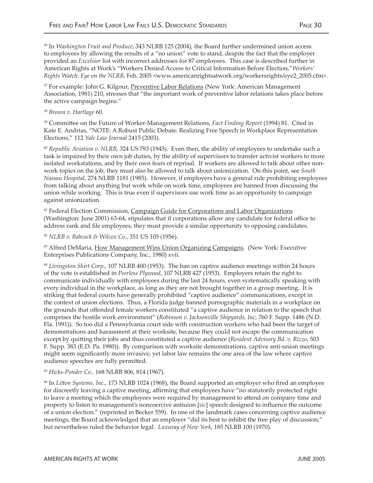36 In *Washington Fruit and Produce,* 343 NLRB 125 (2004), the Board further undermined union access to employees by allowing the results of a "no union" vote to stand, despite the fact that the employer provided an *Excelsior* list with incorrect addresses for 87 employees. This case is described further in American Rights at Work's "Workers Denied Access to Critical Information Before Election,"*Workers' Rights Watch: Eye on the NLRB,* Feb. 2005 <www.americanrightsatwork.org/workersrights/eye2\_2005.cfm>.

<sup>37</sup> For example: John G. Kilgour, Preventive Labor Relations (New York: American Management Association, 1981) 210, stresses that "the important work of preventive labor relations takes place before the active campaign begins."

#### <sup>38</sup> *Brown v. Hartlage* 60.

39 Commi�ee on the Future of Worker-Management Relations, *Fact Finding Report* (1994) 81. Cited in Kate E. Andrias, "NOTE: A Robust Public Debate: Realizing Free Speech in Workplace Representation Elections," 112 *Yale Law Journal* 2415 (2003).

<sup>40</sup> Republic Aviation v. NLRB, 324 US 793 (1945). Even then, the ability of employees to undertake such a task is impaired by their own job duties, by the ability of supervisors to transfer activist workers to more isolated workstations, and by their own fears of reprisal. If workers are allowed to talk about other nonwork topics on the job, they must also be allowed to talk about unionization. On this point, see *South Nassau Hospital*, 274 NLRB 1181 (1985). However, if employers have a general rule prohibiting employees from talking about anything but work while on work time, employees are banned from discussing the union while working. This is true even if supervisors use work time as an opportunity to campaign against unionization.

<sup>41</sup> Federal Election Commission, Campaign Guide for Corporations and Labor Organizations (Washington: June 2001) 63-64, stipulates that if corporations allow any candidate for federal office to address rank and file employees, they must provide a similar opportunity to opposing candidates.

<sup>42</sup> *NLRB v. Babcock & Wilcox Co.*, 351 US 105 (1956).

<sup>43</sup> Alfred DeMaria, How Management Wins Union Organizing Campaigns. (New York: Executive Enterprises Publications Company, Inc., 1980) xvii.

<sup>44</sup> *Livingston Shirt Corp*., 107 NLRB 400 (1953). The ban on captive audience meetings within 24 hours of the vote is established in *Peerless Plywood*, 107 NLRB 427 (1953). Employers retain the right to communicate individually with employees during the last 24 hours, even systematically speaking with every individual in the workplace, as long as they are not brought together in a group meeting. It is striking that federal courts have generally prohibited "captive audience" communications, except in the context of union elections. Thus, a Florida judge banned pornographic materials in a workplace on the grounds that offended female workers constituted "a captive audience in relation to the speech that comprises the hostile work environment" (*Robinson v. Jacksonville Shipyards, Inc*, 760 F. Supp. 1486 (N.D. Fla. 1991)). So too did a Pennsylvania court side with construction workers who had been the target of demonstrations and harassment at their worksite, because they could not escape the communication except by qui�ing their jobs and thus constituted a captive audience (*Resident Advisory Bd. v. Rizzo*, 503 F. Supp. 383 (E.D. Pa. 1980)). By comparison with worksite demonstrations, captive anti-union meetings might seem significantly more invasive; yet labor law remains the one area of the law where captive audience speeches are fully permitted.

#### <sup>45</sup> *Hicks-Ponder Co.,* 168 NLRB 806, 814 (1967).

46 In *Li�on Systems, Inc*., 173 NLRB 1024 (1968), the Board supported an employer who fired an employee for discreetly leaving a captive meeting, affirming that employees have "no statutorily protected right to leave a meeting which the employees were required by management to attend on company time and property to listen to management's noncoercive antiuion [*sic*] speech designed to influence the outcome of a union election." (reprinted in Becker 559). In one of the landmark cases concerning captive audience meetings, the Board acknowledged that an employer "did its best to inhibit the free play of discussion," but nevertheless ruled the behavior legal. *Luxuray of New York*, 185 NLRB 100 (1970).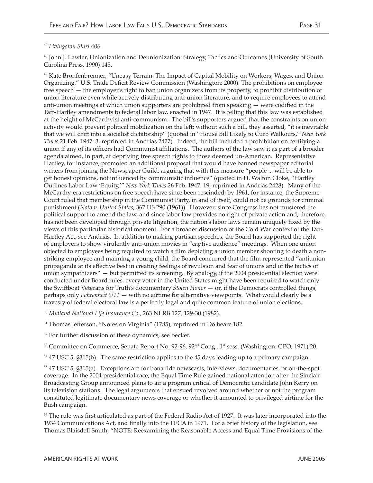#### *47 Livingston Shirt* 406.

48 John J. Lawler, Unionization and Deunionization: Strategy, Tactics and Outcomes (University of South Carolina Press, 1990) 145.

49 Kate Bronfenbrenner, "Uneasy Terrain: The Impact of Capital Mobility on Workers, Wages, and Union Organizing," U.S. Trade Deficit Review Commission (Washington: 2000). The prohibitions on employee free speech — the employer's right to ban union organizers from its property, to prohibit distribution of union literature even while actively distributing anti-union literature, and to require employees to attend anti-union meetings at which union supporters are prohibited from speaking — were codified in the Taft-Hartley amendments to federal labor law, enacted in 1947. It is telling that this law was established at the height of McCarthyist anti-communism. The bill's supporters argued that the constraints on union activity would prevent political mobilization on the left; without such a bill, they asserted, "it is inevitable that we will dri� into a socialist dictatorship" (quoted in "House Bill Likely to Curb Walkouts," *New York Times* 21 Feb. 1947: 3, reprinted in Andrias 2427). Indeed, the bill included a prohibition on certifying a union if any of its officers had Communist affiliations. The authors of the law saw it as part of a broader agenda aimed, in part, at depriving free speech rights to those deemed un-American. Representative Hartley, for instance, promoted an additional proposal that would have banned newspaper editorial writers from joining the Newspaper Guild, arguing that with this measure "people ... will be able to get honest opinions, not influenced by communistic influence" (quoted in H. Walton Cloke, "Hartley Outlines Labor Law 'Equity,'" *New York Times* 26 Feb. 1947: 19, reprinted in Andrias 2428). Many of the McCarthy-era restrictions on free speech have since been rescinded; by 1961, for instance, the Supreme Court ruled that membership in the Communist Party, in and of itself, could not be grounds for criminal punishment (*Noto v. United States*, 367 US 290 (1961)). However, since Congress has not mustered the political support to amend the law, and since labor law provides no right of private action and, therefore, has not been developed through private litigation, the nation's labor laws remain uniquely fixed by the views of this particular historical moment. For a broader discussion of the Cold War context of the Ta�- Hartley Act, see Andrias. In addition to making partisan speeches, the Board has supported the right of employers to show virulently anti-union movies in "captive audience" meetings. When one union objected to employees being required to watch a film depicting a union member shooting to death a nonstriking employee and maiming a young child, the Board concurred that the film represented "antiunion propaganda at its effective best in creating feelings of revulsion and fear of unions and of the tactics of union sympathizers" — but permitted its screening. By analogy, if the 2004 presidential election were conducted under Board rules, every voter in the United States might have been required to watch only the Swi�boat Veterans for Truth's documentary *Stolen Honor* — or, if the Democrats controlled things, perhaps only *Fahrenheit 9/11* — with no airtime for alternative viewpoints. What would clearly be a travesty of federal electoral law is a perfectly legal and quite common feature of union elections.

<sup>50</sup> *Midland National Life Insurance Co*., 263 NLRB 127, 129-30 (1982).

51 Thomas Jefferson, "Notes on Virginia" (1785), reprinted in Dolbeare 182.

<sup>52</sup> For further discussion of these dynamics, see Becker.

<sup>53</sup> Committee on Commerce, Senate Report No. 92-96, 92<sup>nd</sup> Cong., 1<sup>st</sup> sess. (Washington: GPO, 1971) 20.

<sup>54</sup> 47 USC 5, §315(b). The same restriction applies to the 45 days leading up to a primary campaign.

55 47 USC 5, §315(a). Exceptions are for bona fide newscasts, interviews, documentaries, or on-the-spot coverage. In the 2004 presidential race, the Equal Time Rule gained national attention after the Sinclair Broadcasting Group announced plans to air a program critical of Democratic candidate John Kerry on its television stations. The legal arguments that ensued revolved around whether or not the program constituted legitimate documentary news coverage or whether it amounted to privileged airtime for the Bush campaign.

<sup>56</sup> The rule was first articulated as part of the Federal Radio Act of 1927. It was later incorporated into the 1934 Communications Act, and finally into the FECA in 1971. For a brief history of the legislation, see Thomas Blaisdell Smith, "NOTE: Reexamining the Reasonable Access and Equal Time Provisions of the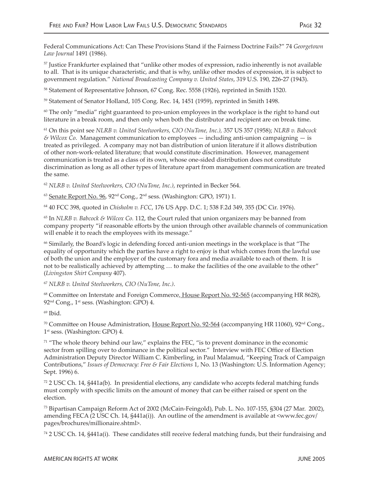Federal Communications Act: Can These Provisions Stand if the Fairness Doctrine Fails?" 74 *Georgetown Law Journal* 1491 (1986).

57 Justice Frankfurter explained that "unlike other modes of expression, radio inherently is not available to all. That is its unique characteristic, and that is why, unlike other modes of expression, it is subject to government regulation." *National Broadcasting Company v. United States*, 319 U.S. 190, 226-27 (1943).

58 Statement of Representative Johnson, 67 Cong. Rec. 5558 (1926), reprinted in Smith 1520.

59 Statement of Senator Holland, 105 Cong. Rec. 14, 1451 (1959), reprinted in Smith 1498.

 $60$  The only "media" right guaranteed to pro-union employees in the workplace is the right to hand out literature in a break room, and then only when both the distributor and recipient are on break time.

61 On this point see *NLRB v. United Steelworkers, CIO (NuTone, Inc.),* 357 US 357 (1958); *NLRB v. Babcock & Wilcox Co*. Management communication to employees — including anti-union campaigning — is treated as privileged. A company may not ban distribution of union literature if it allows distribution of other non-work-related literature; that would constitute discrimination. However, management communication is treated as a class of its own, whose one-sided distribution does not constitute discrimination as long as all other types of literature apart from management communication are treated the same.

<sup>62</sup> *NLRB v. United Steelworkers, CIO (NuTone, Inc.)*, reprinted in Becker 564.

 $63$  Senate Report No. 96, 92<sup>nd</sup> Cong., 2<sup>nd</sup> sess. (Washington: GPO, 1971) 1.

64 40 FCC 398, quoted in *Chisholm v. FCC*, 176 US App. D.C. 1; 538 F.2d 349, 355 (DC Cir. 1976).

65 In *NLRB v. Babcock & Wilcox Co.* 112, the Court ruled that union organizers may be banned from company property "if reasonable efforts by the union through other available channels of communication will enable it to reach the employees with its message."

66 Similarly, the Board's logic in defending forced anti-union meetings in the workplace is that "The equality of opportunity which the parties have a right to enjoy is that which comes from the lawful use of both the union and the employer of the customary fora and media available to each of them. It is not to be realistically achieved by attempting ... to make the facilities of the one available to the other" (*Livingston Shirt Company* 407).

<sup>67</sup> *NLRB v. United Steelworkers, CIO (NuTone, Inc.)*.

<sup>68</sup> Committee on Interstate and Foreign Commerce<u>, House Report No. 92-565</u> (accompanying HR 8628), 92<sup>nd</sup> Cong., 1<sup>st</sup> sess. (Washington: GPO) 4.

69 Ibid.

<sup>70</sup> Committee on House Administration, House Report No. 92-564 (accompanying HR 11060), 92<sup>nd</sup> Cong., 1<sup>st</sup> sess. (Washington: GPO) 4.

 $71$  "The whole theory behind our law," explains the FEC, "is to prevent dominance in the economic sector from spilling over to dominance in the political sector." Interview with FEC Office of Election Administration Deputy Director William C. Kimberling, in Paul Malamud, "Keeping Track of Campaign Contributions," *Issues of Democracy: Free & Fair Elections* 1, No. 13 (Washington: U.S. Information Agency; Sept. 1996) 6.

72 2 USC Ch. 14, §441a(b). In presidential elections, any candidate who accepts federal matching funds must comply with specific limits on the amount of money that can be either raised or spent on the election.

73 Bipartisan Campaign Reform Act of 2002 (McCain-Feingold), Pub. L. No. 107-155, §304 (27 Mar. 2002), amending FECA (2 USC Ch. 14, §441a(i)). An outline of the amendment is available at <www.fec.gov/ pages/brochures/millionaire.shtml>.

 $74$  2 USC Ch. 14, §441a(i). These candidates still receive federal matching funds, but their fundraising and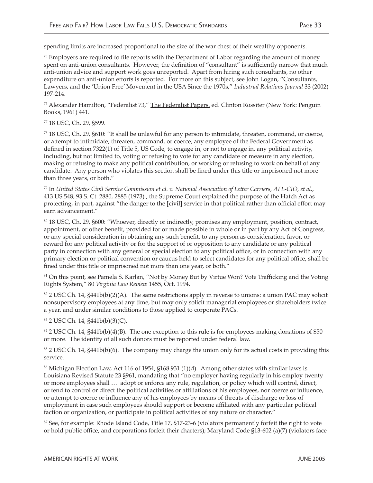spending limits are increased proportional to the size of the war chest of their wealthy opponents.

 $75$  Employers are required to file reports with the Department of Labor regarding the amount of money spent on anti-union consultants. However, the definition of "consultant" is sufficiently narrow that much anti-union advice and support work goes unreported. Apart from hiring such consultants, no other expenditure on anti-union efforts is reported. For more on this subject, see John Logan, "Consultants, Lawyers, and the 'Union Free' Movement in the USA Since the 1970s," *Industrial Relations Journal* 33 (2002) 197-214.

76 Alexander Hamilton, "Federalist 73," The Federalist Papers, ed. Clinton Rossiter (New York: Penguin Books, 1961) 441.

77 18 USC, Ch. 29, §599.

78 18 USC, Ch. 29, §610: "It shall be unlawful for any person to intimidate, threaten, command, or coerce, or attempt to intimidate, threaten, command, or coerce, any employee of the Federal Government as defined in section 7322(1) of Title 5, US Code, to engage in, or not to engage in, any political activity, including, but not limited to, voting or refusing to vote for any candidate or measure in any election, making or refusing to make any political contribution, or working or refusing to work on behalf of any candidate. Any person who violates this section shall be fined under this title or imprisoned not more than three years, or both."

79 In *United States Civil Service Commission et al. v. National Association of Le�er Carriers, AFL-CIO, et al.*, 413 US 548; 93 S. Ct. 2880, 2885 (1973) , the Supreme Court explained the purpose of the Hatch Act as protecting, in part, against "the danger to the [civil] service in that political rather than official effort may earn advancement."

80 18 USC, Ch. 29, §600: "Whoever, directly or indirectly, promises any employment, position, contract, appointment, or other benefit, provided for or made possible in whole or in part by any Act of Congress, or any special consideration in obtaining any such benefit, to any person as consideration, favor, or reward for any political activity or for the support of or opposition to any candidate or any political party in connection with any general or special election to any political office, or in connection with any primary election or political convention or caucus held to select candidates for any political office, shall be fined under this title or imprisoned not more than one year, or both."

<sup>81</sup> On this point, see Pamela S. Karlan, "Not by Money But by Virtue Won? Vote Trafficking and the Voting Rights System," 80 *Virginia Law Review* 1455, Oct. 1994.

 $82$  2 USC Ch. 14, §441b(b)(2)(A). The same restrictions apply in reverse to unions: a union PAC may solicit nonsupervisory employees at any time, but may only solicit managerial employees or shareholders twice a year, and under similar conditions to those applied to corporate PACs.

#### 83 2 USC Ch. 14, §441b(b)(3)(C).

<sup>84</sup> 2 USC Ch. 14, §441b(b)(4)(B). The one exception to this rule is for employees making donations of \$50 or more. The identity of all such donors must be reported under federal law.

85 2 USC Ch. 14, §441b(b)(6). The company may charge the union only for its actual costs in providing this service.

<sup>86</sup> Michigan Election Law, Act 116 of 1954, §168.931 (1)(d). Among other states with similar laws is Louisiana Revised Statute 23 §961, mandating that "no employer having regularly in his employ twenty or more employees shall … adopt or enforce any rule, regulation, or policy which will control, direct, or tend to control or direct the political activities or affiliations of his employees, nor coerce or influence, or a�empt to coerce or influence any of his employees by means of threats of discharge or loss of employment in case such employees should support or become affiliated with any particular political faction or organization, or participate in political activities of any nature or character."

87 See, for example: Rhode Island Code, Title 17, §17-23-6 (violators permanently forfeit the right to vote or hold public office, and corporations forfeit their charters); Maryland Code §13-602 (a)(7) (violators face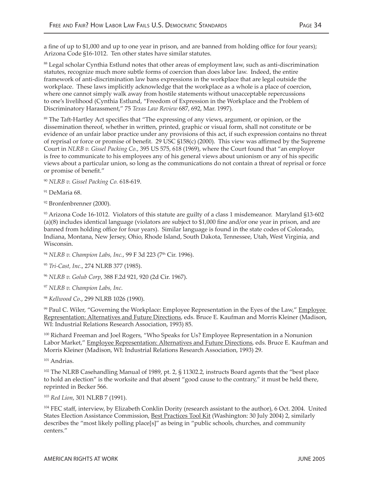a fine of up to \$1,000 and up to one year in prison, and are banned from holding office for four years); Arizona Code §16-1012. Ten other states have similar statutes.

88 Legal scholar Cynthia Estlund notes that other areas of employment law, such as anti-discrimination statutes, recognize much more subtle forms of coercion than does labor law. Indeed, the entire framework of anti-discrimination law bans expressions in the workplace that are legal outside the workplace. These laws implicitly acknowledge that the workplace as a whole is a place of coercion, where one cannot simply walk away from hostile statements without unacceptable repercussions to one's livelihood (Cynthia Estlund, "Freedom of Expression in the Workplace and the Problem of Discriminatory Harassment," 75 *Texas Law Review* 687, 692, Mar. 1997).

<sup>89</sup> The Taft-Hartley Act specifies that "The expressing of any views, argument, or opinion, or the dissemination thereof, whether in wri�en, printed, graphic or visual form, shall not constitute or be evidence of an unfair labor practice under any provisions of this act, if such expression contains no threat of reprisal or force or promise of benefit. 29 USC §158(c) (2000). This view was affirmed by the Supreme Court in *NLRB v. Gissel Packing Co.*, 395 US 575, 618 (1969), where the Court found that "an employer is free to communicate to his employees any of his general views about unionism or any of his specific views about a particular union, so long as the communications do not contain a threat of reprisal or force or promise of benefit."

<sup>90</sup> *NLRB v. Gissel Packing Co.* 618-619.

<sup>91</sup> DeMaria 68.

92 Bronfenbrenner (2000).

93 Arizona Code 16-1012. Violators of this statute are guilty of a class 1 misdemeanor. Maryland §13-602 (a)(8) includes identical language (violators are subject to \$1,000 fine and/or one year in prison, and are banned from holding office for four years). Similar language is found in the state codes of Colorado, Indiana, Montana, New Jersey, Ohio, Rhode Island, South Dakota, Tennessee, Utah, West Virginia, and Wisconsin.

<sup>94</sup> *NLRB v. Champion Labs, Inc., 99 F 3d 223 (7<sup>th</sup> Cir. 1996).* 

<sup>96</sup> *NLRB v. Golub Corp*, 388 F.2d 921, 920 (2d Cir. 1967).

<sup>97</sup> *NLRB v. Champion Labs, Inc*.

<sup>98</sup> *Kellwood Co*., 299 NLRB 1026 (1990).

<sup>99</sup> Paul C. Wiler, "Governing the Workplace: Employee Representation in the Eyes of the Law," Employee Representation: Alternatives and Future Directions, eds. Bruce E. Kaufman and Morris Kleiner (Madison, WI: Industrial Relations Research Association, 1993) 85.

<sup>100</sup> Richard Freeman and Joel Rogers, "Who Speaks for Us? Employee Representation in a Nonunion Labor Market," Employee Representation: Alternatives and Future Directions, eds. Bruce E. Kaufman and Morris Kleiner (Madison, WI: Industrial Relations Research Association, 1993) 29.

101 Andrias.

<sup>102</sup> The NLRB Casehandling Manual of 1989, pt. 2, § 11302.2, instructs Board agents that the "best place to hold an election" is the worksite and that absent "good cause to the contrary," it must be held there, reprinted in Becker 566.

<sup>103</sup> *Red Lion*, 301 NLRB 7 (1991).

<sup>104</sup> FEC staff, interview, by Elizabeth Conklin Dority (research assistant to the author), 6 Oct. 2004. United States Election Assistance Commission, Best Practices Tool Kit (Washington: 30 July 2004) 2, similarly describes the "most likely polling place[s]" as being in "public schools, churches, and community centers."

<sup>95</sup> *Tri-Cast, Inc*., 274 NLRB 377 (1985).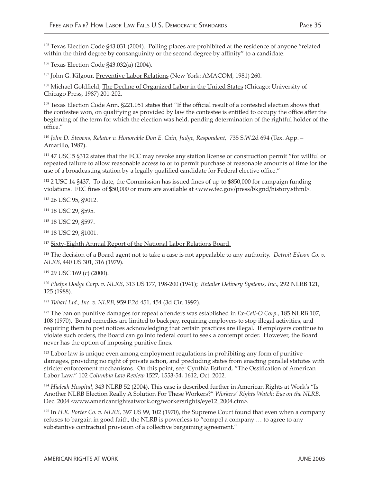<sup>105</sup> Texas Election Code §43.031 (2004). Polling places are prohibited at the residence of anyone "related within the third degree by consanguinity or the second degree by affinity" to a candidate.

106 Texas Election Code §43.032(a) (2004).

107 John G. Kilgour, Preventive Labor Relations (New York: AMACOM, 1981) 260.

<sup>108</sup> Michael Goldfield, The Decline of Organized Labor in the United States (Chicago: University of Chicago Press, 1987) 201-202.

109 Texas Election Code Ann. §221.051 states that "If the official result of a contested election shows that the contestee won, on qualifying as provided by law the contestee is entitled to occupy the office a�er the beginning of the term for which the election was held, pending determination of the rightful holder of the office."

<sup>110</sup> *John D. Stevens, Relator v. Honorable Don E. Cain, Judge, Respondent,* 735 S.W.2d 694 (Tex. App. – Amarillo, 1987).

111 47 USC 5 §312 states that the FCC may revoke any station license or construction permit "for willful or repeated failure to allow reasonable access to or to permit purchase of reasonable amounts of time for the use of a broadcasting station by a legally qualified candidate for Federal elective office."

112 2 USC 14 §437. To date, the Commission has issued fines of up to \$850,000 for campaign funding violations. FEC fines of \$50,000 or more are available at <www.fec.gov/press/bkgnd/history.sthml>.

113 26 USC 95, §9012.

114 18 USC 29, §595.

115 18 USC 29, §597.

116 18 USC 29, §1001.

<sup>117</sup> Sixty-Eighth Annual Report of the National Labor Relations Board.

118 The decision of a Board agent not to take a case is not appealable to any authority. *Detroit Edison Co. v. NLRB*, 440 US 301, 316 (1979).

119 29 USC 169 (c) (2000).

<sup>120</sup> *Phelps Dodge Corp. v. NLRB*, 313 US 177, 198-200 (1941); *Retailer Delivery Systems, Inc*., 292 NLRB 121, 125 (1988).

<sup>121</sup> *Tubari Ltd., Inc. v. NLRB*, 959 F.2d 451, 454 (3d Cir. 1992).

122 The ban on punitive damages for repeat offenders was established in *Ex-Cell-O Corp.,* 185 NLRB 107, 108 (1970). Board remedies are limited to backpay, requiring employers to stop illegal activities, and requiring them to post notices acknowledging that certain practices are illegal. If employers continue to violate such orders, the Board can go into federal court to seek a contempt order. However, the Board never has the option of imposing punitive fines.

<sup>123</sup> Labor law is unique even among employment regulations in prohibiting any form of punitive damages, providing no right of private action, and precluding states from enacting parallel statutes with stricter enforcement mechanisms. On this point, see: Cynthia Estlund, "The Ossification of American Labor Law," 102 *Columbia Law Review* 1527, 1553-54, 1612, Oct. 2002.

<sup>124</sup> *Hialeah Hospital*, 343 NLRB 52 (2004). This case is described further in American Rights at Work's "Is Another NLRB Election Really A Solution For These Workers?" *Workers' Rights Watch: Eye on the NLRB,* Dec. 2004 <www.americanrightsatwork.org/workersrights/eye12\_2004.cfm>.

125 In *H.K. Porter Co. v. NLRB*, 397 US 99, 102 (1970), the Supreme Court found that even when a company refuses to bargain in good faith, the NLRB is powerless to "compel a company … to agree to any substantive contractual provision of a collective bargaining agreement."